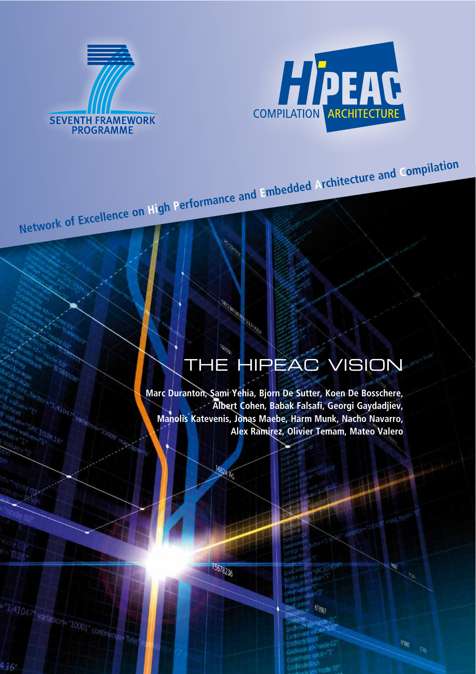



# THE HIPEAC VISION

**Marc Duranton, Sami Yehia, Bjorn De Sutter, Koen De Bosschere, Albert Cohen, Babak Falsafi, Georgi Gaydadjiev, Manolis Katevenis, Jonas Maebe, Harm Munk, Nacho Navarro, Alex Ramirez, Olivier Temam, Mateo Valero**

**Network of Excellence on High Performance and Embedded Architecture and Compilation**

**CONSTANTINO** 

15578236

16824 FG

 $61060$ 

 $\mathcal{R}^{\text{tr}}_{\text{eff}}$ 

 $-136$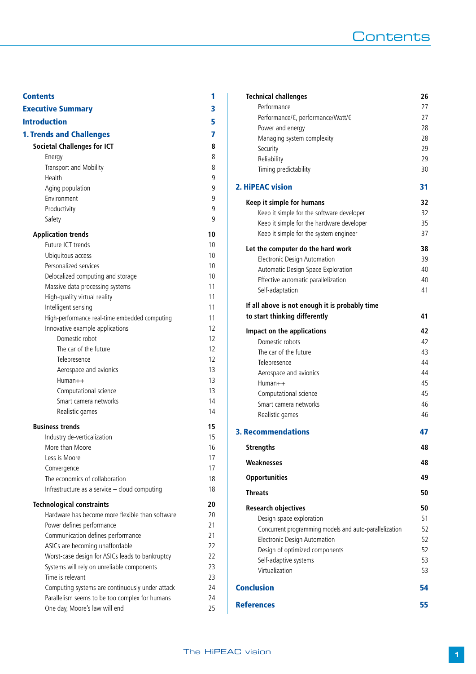## **Contents**

| <b>Contents</b>                                 | 1  |
|-------------------------------------------------|----|
| <b>Executive Summary</b>                        | 3  |
| <b>Introduction</b>                             | 5  |
| <b>1. Trends and Challenges</b>                 | 7  |
| <b>Societal Challenges for ICT</b>              | 8  |
| Energy                                          | 8  |
| Transport and Mobility                          | 8  |
| Health                                          | 9  |
| Aging population                                | 9  |
| Environment                                     | 9  |
| Productivity                                    | 9  |
| Safety                                          | 9  |
| <b>Application trends</b>                       | 10 |
| Future ICT trends                               | 10 |
| Ubiquitous access                               | 10 |
| Personalized services                           | 10 |
| Delocalized computing and storage               | 10 |
| Massive data processing systems                 | 11 |
| High-quality virtual reality                    | 11 |
| Intelligent sensing                             | 11 |
| High-performance real-time embedded computing   | 11 |
| Innovative example applications                 | 12 |
| Domestic robot                                  | 12 |
| The car of the future                           | 12 |
| Telepresence                                    | 12 |
| Aerospace and avionics                          | 13 |
| $Human++$                                       | 13 |
| Computational science                           | 13 |
| Smart camera networks                           | 14 |
| Realistic games                                 | 14 |
| <b>Business trends</b>                          | 15 |
| Industry de-verticalization                     | 15 |
| More than Moore                                 | 16 |
| Less is Moore                                   | 17 |
| Convergence                                     | 17 |
| The economics of collaboration                  | 18 |
| Infrastructure as a service - cloud computing   | 18 |
| <b>Technological constraints</b>                | 20 |
| Hardware has become more flexible than software | 20 |
| Power defines performance                       | 21 |
| Communication defines performance               | 21 |
| ASICs are becoming unaffordable                 | 22 |
| Worst-case design for ASICs leads to bankruptcy | 22 |
| Systems will rely on unreliable components      | 23 |
| Time is relevant                                | 23 |
| Computing systems are continuously under attack | 24 |
| Parallelism seems to be too complex for humans  | 24 |
| One day, Moore's law will end                   | 25 |

| <b>Technical challenges</b>                                                     | 26 |
|---------------------------------------------------------------------------------|----|
| Performance                                                                     | 27 |
| Performance/€, performance/Watt/€                                               | 27 |
| Power and energy                                                                | 28 |
| Managing system complexity                                                      | 28 |
| Security                                                                        | 29 |
| Reliability                                                                     | 29 |
| Timing predictability                                                           | 30 |
| <b>2. HiPEAC vision</b>                                                         | 31 |
| Keep it simple for humans                                                       | 32 |
| Keep it simple for the software developer                                       | 32 |
| Keep it simple for the hardware developer                                       | 35 |
| Keep it simple for the system engineer                                          | 37 |
| Let the computer do the hard work                                               | 38 |
| <b>Electronic Design Automation</b>                                             | 39 |
| Automatic Design Space Exploration                                              | 40 |
| Effective automatic parallelization                                             | 40 |
| Self-adaptation                                                                 | 41 |
| If all above is not enough it is probably time<br>to start thinking differently | 41 |
| Impact on the applications                                                      | 42 |
| Domestic robots                                                                 | 42 |
| The car of the future                                                           | 43 |
| Telepresence                                                                    | 44 |
| Aerospace and avionics                                                          | 44 |
| $Human++$                                                                       | 45 |
| Computational science                                                           | 45 |
| Smart camera networks                                                           | 46 |
| Realistic games                                                                 | 46 |
| <b>3. Recommendations</b>                                                       | 47 |
| <b>Strengths</b>                                                                | 48 |
| Weaknesses                                                                      | 48 |
| <b>Opportunities</b>                                                            | 49 |
| <b>Threats</b>                                                                  | 50 |
| <b>Research objectives</b>                                                      | 50 |
| Design space exploration                                                        | 51 |
| Concurrent programming models and auto-parallelization                          | 52 |
| <b>Electronic Design Automation</b>                                             | 52 |
| Design of optimized components                                                  | 52 |
| Self-adaptive systems                                                           | 53 |
| Virtualization                                                                  | 53 |
| <b>Conclusion</b>                                                               | 54 |
| <b>References</b>                                                               | 55 |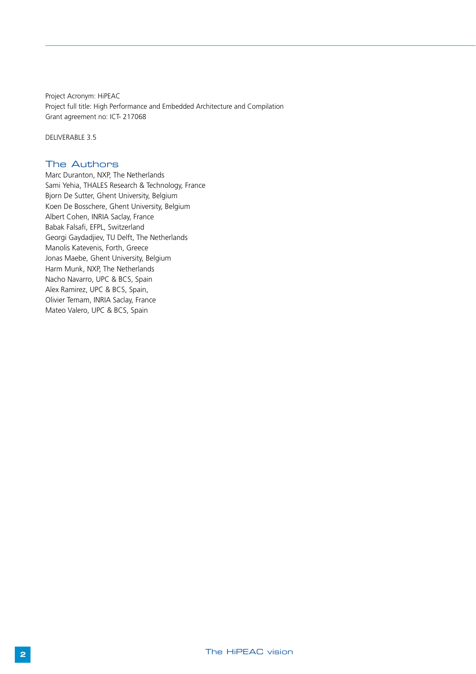Project Acronym: HiPEAC Project full title: High Performance and Embedded Architecture and Compilation Grant agreement no: ICT- 217068

DELIVERABLE 3.5

#### The Authors

Marc Duranton, NXP, The Netherlands Sami Yehia, THALES Research & Technology, France Bjorn De Sutter, Ghent University, Belgium Koen De Bosschere, Ghent University, Belgium Albert Cohen, INRIA Saclay, France Babak Falsafi, EFPL, Switzerland Georgi Gaydadjiev, TU Delft, The Netherlands Manolis Katevenis, Forth, Greece Jonas Maebe, Ghent University, Belgium Harm Munk, NXP, The Netherlands Nacho Navarro, UPC & BCS, Spain Alex Ramirez, UPC & BCS, Spain, Olivier Temam, INRIA Saclay, France Mateo Valero, UPC & BCS, Spain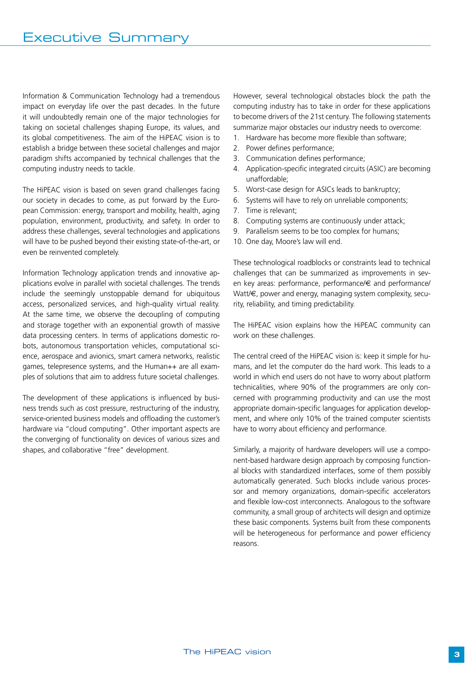Information & Communication Technology had a tremendous impact on everyday life over the past decades. In the future it will undoubtedly remain one of the major technologies for taking on societal challenges shaping Europe, its values, and its global competitiveness. The aim of the HiPEAC vision is to establish a bridge between these societal challenges and major paradigm shifts accompanied by technical challenges that the computing industry needs to tackle.

The HiPEAC vision is based on seven grand challenges facing our society in decades to come, as put forward by the European Commission: energy, transport and mobility, health, aging population, environment, productivity, and safety. In order to address these challenges, several technologies and applications will have to be pushed beyond their existing state-of-the-art, or even be reinvented completely.

Information Technology application trends and innovative applications evolve in parallel with societal challenges. The trends include the seemingly unstoppable demand for ubiquitous access, personalized services, and high-quality virtual reality. At the same time, we observe the decoupling of computing and storage together with an exponential growth of massive data processing centers. In terms of applications domestic robots, autonomous transportation vehicles, computational science, aerospace and avionics, smart camera networks, realistic games, telepresence systems, and the Human++ are all examples of solutions that aim to address future societal challenges.

The development of these applications is influenced by business trends such as cost pressure, restructuring of the industry, service-oriented business models and offloading the customer's hardware via "cloud computing". Other important aspects are the converging of functionality on devices of various sizes and shapes, and collaborative "free" development.

However, several technological obstacles block the path the computing industry has to take in order for these applications to become drivers of the 21st century. The following statements summarize major obstacles our industry needs to overcome:

- 1. Hardware has become more flexible than software;
- 2. Power defines performance;
- 3. Communication defines performance;
- 4. Application-specific integrated circuits (ASIC) are becoming unaffordable;
- 5. Worst-case design for ASICs leads to bankruptcy;
- 6. Systems will have to rely on unreliable components;
- 7. Time is relevant;
- 8. Computing systems are continuously under attack;
- 9. Parallelism seems to be too complex for humans;
- 10. One day, Moore's law will end.

These technological roadblocks or constraints lead to technical challenges that can be summarized as improvements in seven key areas: performance, performance/€ and performance/ Watt/€, power and energy, managing system complexity, security, reliability, and timing predictability.

The HiPEAC vision explains how the HiPEAC community can work on these challenges.

The central creed of the HiPEAC vision is: keep it simple for humans, and let the computer do the hard work. This leads to a world in which end users do not have to worry about platform technicalities, where 90% of the programmers are only concerned with programming productivity and can use the most appropriate domain-specific languages for application development, and where only 10% of the trained computer scientists have to worry about efficiency and performance.

Similarly, a majority of hardware developers will use a component-based hardware design approach by composing functional blocks with standardized interfaces, some of them possibly automatically generated. Such blocks include various processor and memory organizations, domain-specific accelerators and flexible low-cost interconnects. Analogous to the software community, a small group of architects will design and optimize these basic components. Systems built from these components will be heterogeneous for performance and power efficiency reasons.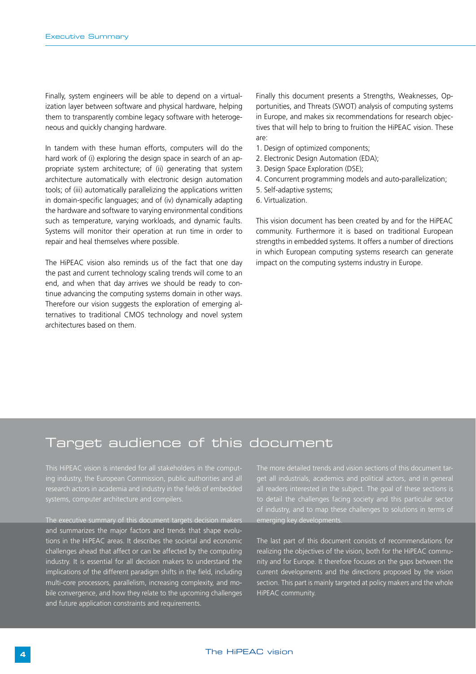Finally, system engineers will be able to depend on a virtualization layer between software and physical hardware, helping them to transparently combine legacy software with heterogeneous and quickly changing hardware.

In tandem with these human efforts, computers will do the hard work of (i) exploring the design space in search of an appropriate system architecture; of (ii) generating that system architecture automatically with electronic design automation tools; of (iii) automatically parallelizing the applications written in domain-specific languages; and of (iv) dynamically adapting the hardware and software to varying environmental conditions such as temperature, varying workloads, and dynamic faults. Systems will monitor their operation at run time in order to repair and heal themselves where possible.

The HiPEAC vision also reminds us of the fact that one day the past and current technology scaling trends will come to an end, and when that day arrives we should be ready to continue advancing the computing systems domain in other ways. Therefore our vision suggests the exploration of emerging alternatives to traditional CMOS technology and novel system architectures based on them.

Finally this document presents a Strengths, Weaknesses, Opportunities, and Threats (SWOT) analysis of computing systems in Europe, and makes six recommendations for research objectives that will help to bring to fruition the HiPEAC vision. These are:

- 1. Design of optimized components;
- 2. Electronic Design Automation (EDA);
- 3. Design Space Exploration (DSE);
- 4. Concurrent programming models and auto-parallelization;
- 5. Self-adaptive systems;
- 6. Virtualization.

This vision document has been created by and for the HiPEAC community. Furthermore it is based on traditional European strengths in embedded systems. It offers a number of directions in which European computing systems research can generate impact on the computing systems industry in Europe.

### Target audience of this document

ing industry, the European Commission, public authorities and all

The executive summary of this document targets decision makers and summarizes the major factors and trends that shape evolutions in the HiPEAC areas. It describes the societal and economic challenges ahead that affect or can be affected by the computing industry. It is essential for all decision makers to understand the implications of the different paradigm shifts in the field, including multi-core processors, parallelism, increasing complexity, and mobile convergence, and how they relate to the upcoming challenges and future application constraints and requirements.

get all industrials, academics and political actors, and in general all readers interested in the subject. The goal of these sections is to detail the challenges facing society and this particular sector emerging key developments.

The last part of this document consists of recommendations for realizing the objectives of the vision, both for the HiPEAC community and for Europe. It therefore focuses on the gaps between the current developments and the directions proposed by the vision section. This part is mainly targeted at policy makers and the whole HiPEAC community.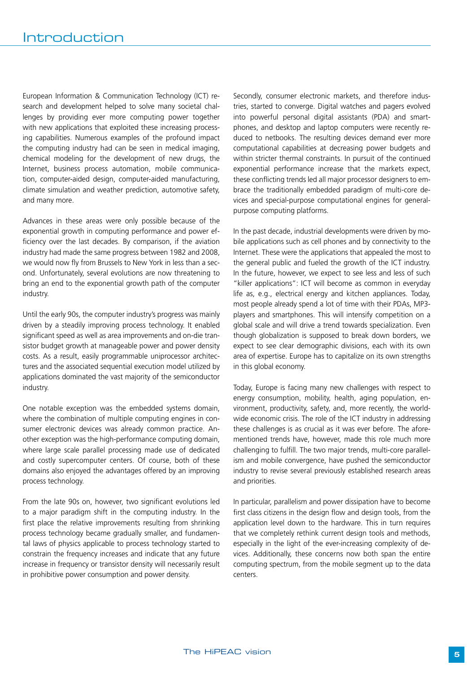European Information & Communication Technology (ICT) research and development helped to solve many societal challenges by providing ever more computing power together with new applications that exploited these increasing processing capabilities. Numerous examples of the profound impact the computing industry had can be seen in medical imaging, chemical modeling for the development of new drugs, the Internet, business process automation, mobile communication, computer-aided design, computer-aided manufacturing, climate simulation and weather prediction, automotive safety, and many more.

Advances in these areas were only possible because of the exponential growth in computing performance and power efficiency over the last decades. By comparison, if the aviation industry had made the same progress between 1982 and 2008, we would now fly from Brussels to New York in less than a second. Unfortunately, several evolutions are now threatening to bring an end to the exponential growth path of the computer industry.

Until the early 90s, the computer industry's progress was mainly driven by a steadily improving process technology. It enabled significant speed as well as area improvements and on-die transistor budget growth at manageable power and power density costs. As a result, easily programmable uniprocessor architectures and the associated sequential execution model utilized by applications dominated the vast majority of the semiconductor industry.

One notable exception was the embedded systems domain, where the combination of multiple computing engines in consumer electronic devices was already common practice. Another exception was the high-performance computing domain, where large scale parallel processing made use of dedicated and costly supercomputer centers. Of course, both of these domains also enjoyed the advantages offered by an improving process technology.

From the late 90s on, however, two significant evolutions led to a major paradigm shift in the computing industry. In the first place the relative improvements resulting from shrinking process technology became gradually smaller, and fundamental laws of physics applicable to process technology started to constrain the frequency increases and indicate that any future increase in frequency or transistor density will necessarily result in prohibitive power consumption and power density.

Secondly, consumer electronic markets, and therefore industries, started to converge. Digital watches and pagers evolved into powerful personal digital assistants (PDA) and smartphones, and desktop and laptop computers were recently reduced to netbooks. The resulting devices demand ever more computational capabilities at decreasing power budgets and within stricter thermal constraints. In pursuit of the continued exponential performance increase that the markets expect, these conflicting trends led all major processor designers to embrace the traditionally embedded paradigm of multi-core devices and special-purpose computational engines for generalpurpose computing platforms.

In the past decade, industrial developments were driven by mobile applications such as cell phones and by connectivity to the Internet. These were the applications that appealed the most to the general public and fueled the growth of the ICT industry. In the future, however, we expect to see less and less of such "killer applications": ICT will become as common in everyday life as, e.g., electrical energy and kitchen appliances. Today, most people already spend a lot of time with their PDAs, MP3 players and smartphones. This will intensify competition on a global scale and will drive a trend towards specialization. Even though globalization is supposed to break down borders, we expect to see clear demographic divisions, each with its own area of expertise. Europe has to capitalize on its own strengths in this global economy.

Today, Europe is facing many new challenges with respect to energy consumption, mobility, health, aging population, environment, productivity, safety, and, more recently, the worldwide economic crisis. The role of the ICT industry in addressing these challenges is as crucial as it was ever before. The aforementioned trends have, however, made this role much more challenging to fulfill. The two major trends, multi-core parallelism and mobile convergence, have pushed the semiconductor industry to revise several previously established research areas and priorities.

In particular, parallelism and power dissipation have to become first class citizens in the design flow and design tools, from the application level down to the hardware. This in turn requires that we completely rethink current design tools and methods, especially in the light of the ever-increasing complexity of devices. Additionally, these concerns now both span the entire computing spectrum, from the mobile segment up to the data centers.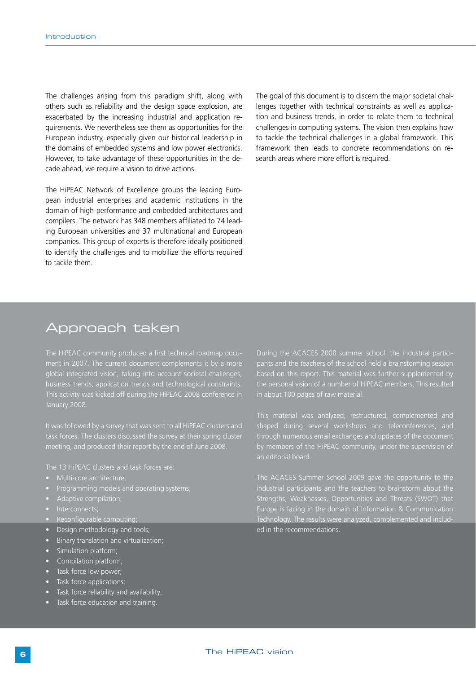The challenges arising from this paradigm shift, along with others such as reliability and the design space explosion, are exacerbated by the increasing industrial and application requirements. We nevertheless see them as opportunities for the European industry, especially given our historical leadership in the domains of embedded systems and low power electronics. However, to take advantage of these opportunities in the decade ahead, we require a vision to drive actions.

The HiPEAC Network of Excellence groups the leading European industrial enterprises and academic institutions in the domain of high-performance and embedded architectures and compilers. The network has 348 members affiliated to 74 leading European universities and 37 multinational and European companies. This group of experts is therefore ideally positioned to identify the challenges and to mobilize the efforts required to tackle them.

The goal of this document is to discern the major societal challenges together with technical constraints as well as application and business trends, in order to relate them to technical challenges in computing systems. The vision then explains how to tackle the technical challenges in a global framework. This framework then leads to concrete recommendations on research areas where more effort is required.

### Approach taken

The HiPEAC community produced a first technical roadmap docuglobal integrated vision, taking into account societal challenges, business trends, application trends and technological constraints. This activity was kicked off during the HiPEAC 2008 conference in January 2008.

meeting, and produced their report by the end of June 2008.

- 
- 
- 
- 
- Reconfigurable computing;
- Design methodology and tools;
- Binary translation and virtualization;
- Simulation platform;
- Compilation platform;
- Task force low power;
- Task force applications;
- Task force reliability and availability;
- Task force education and training.

During the ACACES 2008 summer school, the industrial participants and the teachers of the school held a brainstorming session based on this report. This material was further supplemented by in about 100 pages of raw material.

shaped during several workshops and teleconferences, and through numerous email exchanges and updates of the document an editorial board.

The ACACES Summer School 2009 gave the opportunity to the industrial participants and the teachers to brainstorm about the Strengths, Weaknesses, Opportunities and Threats (SWOT) that Technology. The results were analyzed, complemented and included in the recommendations.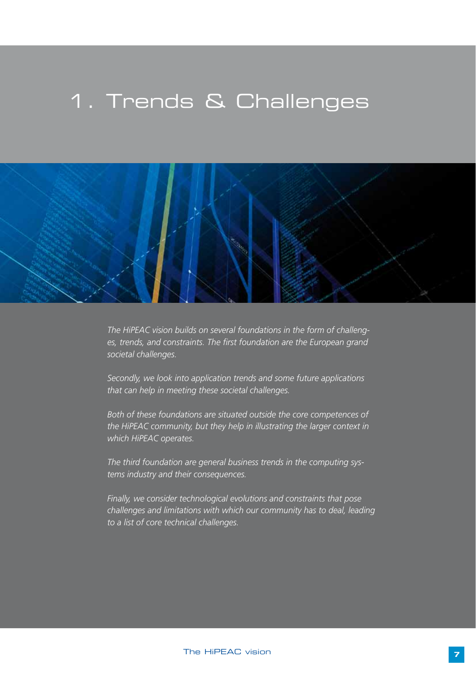## 1. Trends & Challenges



*The HiPEAC vision builds on several foundations in the form of challenges, trends, and constraints. The first foundation are the European grand societal challenges.*

*Secondly, we look into application trends and some future applications that can help in meeting these societal challenges.* 

*Both of these foundations are situated outside the core competences of the HiPEAC community, but they help in illustrating the larger context in which HiPEAC operates.*

*The third foundation are general business trends in the computing systems industry and their consequences.*

*Finally, we consider technological evolutions and constraints that pose challenges and limitations with which our community has to deal, leading to a list of core technical challenges.*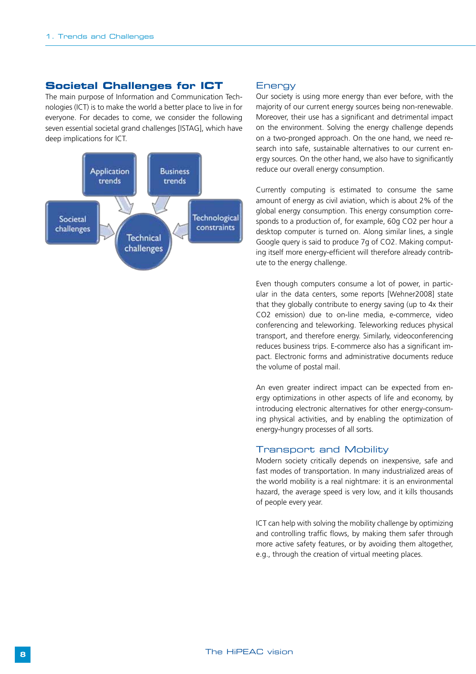#### **Societal Challenges for ICT**

The main purpose of Information and Communication Technologies (ICT) is to make the world a better place to live in for everyone. For decades to come, we consider the following seven essential societal grand challenges [ISTAG], which have deep implications for ICT.



#### **Energy**

Our society is using more energy than ever before, with the majority of our current energy sources being non-renewable. Moreover, their use has a significant and detrimental impact on the environment. Solving the energy challenge depends on a two-pronged approach. On the one hand, we need research into safe, sustainable alternatives to our current energy sources. On the other hand, we also have to significantly reduce our overall energy consumption.

Currently computing is estimated to consume the same amount of energy as civil aviation, which is about 2% of the global energy consumption. This energy consumption corresponds to a production of, for example, 60g CO2 per hour a desktop computer is turned on. Along similar lines, a single Google query is said to produce 7g of CO2. Making computing itself more energy-efficient will therefore already contribute to the energy challenge.

Even though computers consume a lot of power, in particular in the data centers, some reports [Wehner2008] state that they globally contribute to energy saving (up to 4x their CO2 emission) due to on-line media, e-commerce, video conferencing and teleworking. Teleworking reduces physical transport, and therefore energy. Similarly, videoconferencing reduces business trips. E-commerce also has a significant impact. Electronic forms and administrative documents reduce the volume of postal mail.

An even greater indirect impact can be expected from energy optimizations in other aspects of life and economy, by introducing electronic alternatives for other energy-consuming physical activities, and by enabling the optimization of energy-hungry processes of all sorts.

#### Transport and Mobility

Modern society critically depends on inexpensive, safe and fast modes of transportation. In many industrialized areas of the world mobility is a real nightmare: it is an environmental hazard, the average speed is very low, and it kills thousands of people every year.

ICT can help with solving the mobility challenge by optimizing and controlling traffic flows, by making them safer through more active safety features, or by avoiding them altogether, e.g., through the creation of virtual meeting places.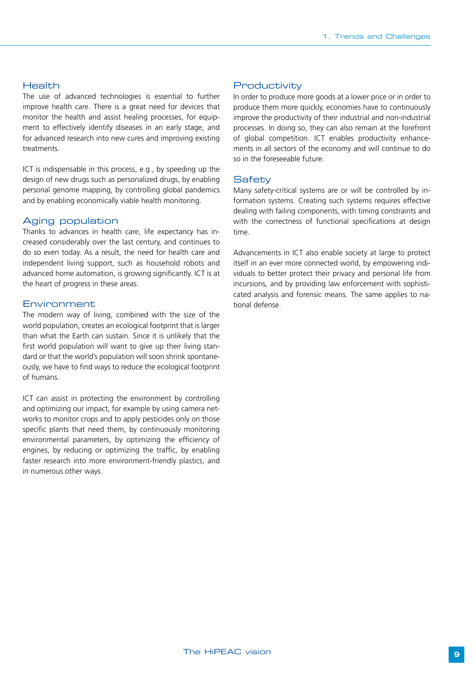#### Health

The use of advanced technologies is essential to further improve health care. There is a great need for devices that monitor the health and assist healing processes, for equipment to effectively identify diseases in an early stage, and for advanced research into new cures and improving existing treatments.

ICT is indispensable in this process, e.g., by speeding up the design of new drugs such as personalized drugs, by enabling personal genome mapping, by controlling global pandemics and by enabling economically viable health monitoring.

#### Aging population

Thanks to advances in health care, life expectancy has increased considerably over the last century, and continues to do so even today. As a result, the need for health care and independent living support, such as household robots and advanced home automation, is growing significantly. ICT is at the heart of progress in these areas.

#### Environment

The modern way of living, combined with the size of the world population, creates an ecological footprint that is larger than what the Earth can sustain. Since it is unlikely that the first world population will want to give up their living standard or that the world's population will soon shrink spontaneously, we have to find ways to reduce the ecological footprint of humans.

ICT can assist in protecting the environment by controlling and optimizing our impact, for example by using camera networks to monitor crops and to apply pesticides only on those specific plants that need them, by continuously monitoring environmental parameters, by optimizing the efficiency of engines, by reducing or optimizing the traffic, by enabling faster research into more environment-friendly plastics, and in numerous other ways.

#### **Productivity**

In order to produce more goods at a lower price or in order to produce them more quickly, economies have to continuously improve the productivity of their industrial and non-industrial processes. In doing so, they can also remain at the forefront of global competition. ICT enables productivity enhancements in all sectors of the economy and will continue to do so in the foreseeable future.

#### **Safety**

Many safety-critical systems are or will be controlled by information systems. Creating such systems requires effective dealing with failing components, with timing constraints and with the correctness of functional specifications at design time.

Advancements in ICT also enable society at large to protect itself in an ever more connected world, by empowering individuals to better protect their privacy and personal life from incursions, and by providing law enforcement with sophisticated analysis and forensic means. The same applies to national defense.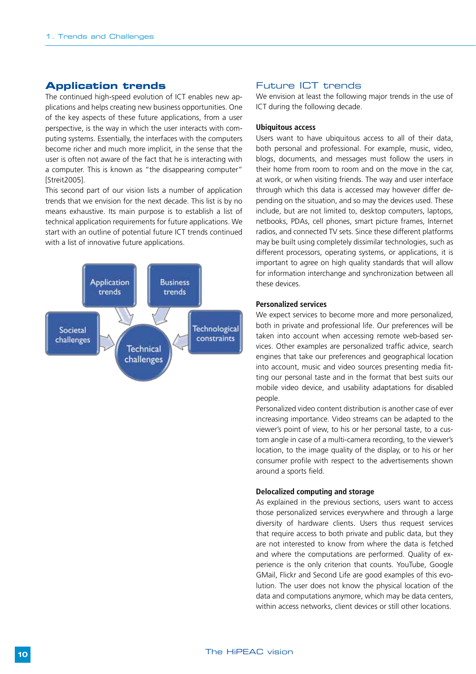#### **Application trends**

The continued high-speed evolution of ICT enables new applications and helps creating new business opportunities. One of the key aspects of these future applications, from a user perspective, is the way in which the user interacts with computing systems. Essentially, the interfaces with the computers become richer and much more implicit, in the sense that the user is often not aware of the fact that he is interacting with a computer. This is known as "the disappearing computer" [Streit2005].

This second part of our vision lists a number of application trends that we envision for the next decade. This list is by no means exhaustive. Its main purpose is to establish a list of technical application requirements for future applications. We start with an outline of potential future ICT trends continued with a list of innovative future applications.



#### Future ICT trends

We envision at least the following major trends in the use of ICT during the following decade.

#### **Ubiquitous access**

Users want to have ubiquitous access to all of their data, both personal and professional. For example, music, video, blogs, documents, and messages must follow the users in their home from room to room and on the move in the car, at work, or when visiting friends. The way and user interface through which this data is accessed may however differ depending on the situation, and so may the devices used. These include, but are not limited to, desktop computers, laptops, netbooks, PDAs, cell phones, smart picture frames, Internet radios, and connected TV sets. Since these different platforms may be built using completely dissimilar technologies, such as different processors, operating systems, or applications, it is important to agree on high quality standards that will allow for information interchange and synchronization between all these devices.

#### **Personalized services**

We expect services to become more and more personalized, both in private and professional life. Our preferences will be taken into account when accessing remote web-based services. Other examples are personalized traffic advice, search engines that take our preferences and geographical location into account, music and video sources presenting media fitting our personal taste and in the format that best suits our mobile video device, and usability adaptations for disabled people.

Personalized video content distribution is another case of ever increasing importance. Video streams can be adapted to the viewer's point of view, to his or her personal taste, to a custom angle in case of a multi-camera recording, to the viewer's location, to the image quality of the display, or to his or her consumer profile with respect to the advertisements shown around a sports field.

#### **Delocalized computing and storage**

As explained in the previous sections, users want to access those personalized services everywhere and through a large diversity of hardware clients. Users thus request services that require access to both private and public data, but they are not interested to know from where the data is fetched and where the computations are performed. Quality of experience is the only criterion that counts. YouTube, Google GMail, Flickr and Second Life are good examples of this evolution. The user does not know the physical location of the data and computations anymore, which may be data centers, within access networks, client devices or still other locations.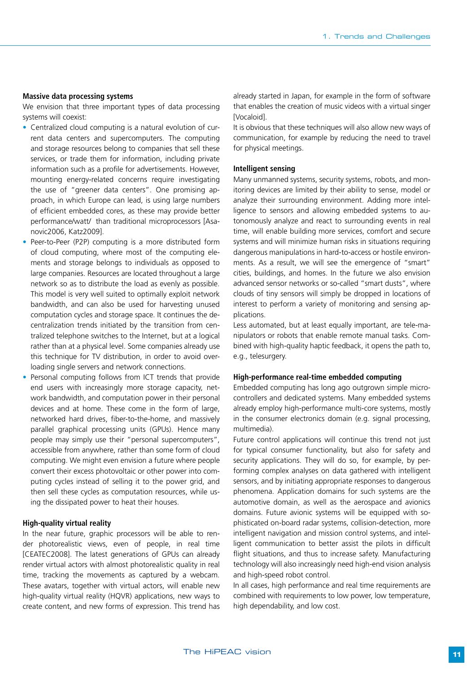#### **Massive data processing systems**

We envision that three important types of data processing systems will coexist:

- Centralized cloud computing is a natural evolution of current data centers and supercomputers. The computing and storage resources belong to companies that sell these services, or trade them for information, including private information such as a profile for advertisements. However, mounting energy-related concerns require investigating the use of "greener data centers". One promising approach, in which Europe can lead, is using large numbers of efficient embedded cores, as these may provide better performance/watt/ than traditional microprocessors [Asanovic2006, Katz2009].
- Peer-to-Peer (P2P) computing is a more distributed form of cloud computing, where most of the computing elements and storage belongs to individuals as opposed to large companies. Resources are located throughout a large network so as to distribute the load as evenly as possible. This model is very well suited to optimally exploit network bandwidth, and can also be used for harvesting unused computation cycles and storage space. It continues the decentralization trends initiated by the transition from centralized telephone switches to the Internet, but at a logical rather than at a physical level. Some companies already use this technique for TV distribution, in order to avoid overloading single servers and network connections.
- Personal computing follows from ICT trends that provide end users with increasingly more storage capacity, network bandwidth, and computation power in their personal devices and at home. These come in the form of large, networked hard drives, fiber-to-the-home, and massively parallel graphical processing units (GPUs). Hence many people may simply use their "personal supercomputers", accessible from anywhere, rather than some form of cloud computing. We might even envision a future where people convert their excess photovoltaic or other power into computing cycles instead of selling it to the power grid, and then sell these cycles as computation resources, while using the dissipated power to heat their houses.

#### **High-quality virtual reality**

In the near future, graphic processors will be able to render photorealistic views, even of people, in real time [CEATEC2008]. The latest generations of GPUs can already render virtual actors with almost photorealistic quality in real time, tracking the movements as captured by a webcam. These avatars, together with virtual actors, will enable new high-quality virtual reality (HQVR) applications, new ways to create content, and new forms of expression. This trend has already started in Japan, for example in the form of software that enables the creation of music videos with a virtual singer [Vocaloid].

It is obvious that these techniques will also allow new ways of communication, for example by reducing the need to travel for physical meetings.

#### **Intelligent sensing**

Many unmanned systems, security systems, robots, and monitoring devices are limited by their ability to sense, model or analyze their surrounding environment. Adding more intelligence to sensors and allowing embedded systems to autonomously analyze and react to surrounding events in real time, will enable building more services, comfort and secure systems and will minimize human risks in situations requiring dangerous manipulations in hard-to-access or hostile environments. As a result, we will see the emergence of "smart" cities, buildings, and homes. In the future we also envision advanced sensor networks or so-called "smart dusts", where clouds of tiny sensors will simply be dropped in locations of interest to perform a variety of monitoring and sensing applications.

Less automated, but at least equally important, are tele-manipulators or robots that enable remote manual tasks. Combined with high-quality haptic feedback, it opens the path to, e.g., telesurgery.

#### **High-performance real-time embedded computing**

Embedded computing has long ago outgrown simple microcontrollers and dedicated systems. Many embedded systems already employ high-performance multi-core systems, mostly in the consumer electronics domain (e.g. signal processing, multimedia).

Future control applications will continue this trend not just for typical consumer functionality, but also for safety and security applications. They will do so, for example, by performing complex analyses on data gathered with intelligent sensors, and by initiating appropriate responses to dangerous phenomena. Application domains for such systems are the automotive domain, as well as the aerospace and avionics domains. Future avionic systems will be equipped with sophisticated on-board radar systems, collision-detection, more intelligent navigation and mission control systems, and intelligent communication to better assist the pilots in difficult flight situations, and thus to increase safety. Manufacturing technology will also increasingly need high-end vision analysis and high-speed robot control.

In all cases, high performance and real time requirements are combined with requirements to low power, low temperature, high dependability, and low cost.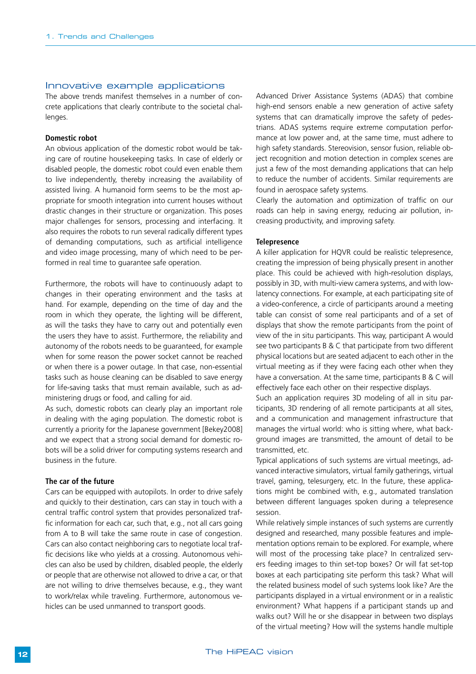#### Innovative example applications

The above trends manifest themselves in a number of concrete applications that clearly contribute to the societal challenges.

#### **Domestic robot**

An obvious application of the domestic robot would be taking care of routine housekeeping tasks. In case of elderly or disabled people, the domestic robot could even enable them to live independently, thereby increasing the availability of assisted living. A humanoid form seems to be the most appropriate for smooth integration into current houses without drastic changes in their structure or organization. This poses major challenges for sensors, processing and interfacing. It also requires the robots to run several radically different types of demanding computations, such as artificial intelligence and video image processing, many of which need to be performed in real time to guarantee safe operation.

Furthermore, the robots will have to continuously adapt to changes in their operating environment and the tasks at hand. For example, depending on the time of day and the room in which they operate, the lighting will be different, as will the tasks they have to carry out and potentially even the users they have to assist. Furthermore, the reliability and autonomy of the robots needs to be guaranteed, for example when for some reason the power socket cannot be reached or when there is a power outage. In that case, non-essential tasks such as house cleaning can be disabled to save energy for life-saving tasks that must remain available, such as administering drugs or food, and calling for aid.

As such, domestic robots can clearly play an important role in dealing with the aging population. The domestic robot is currently a priority for the Japanese government [Bekey2008] and we expect that a strong social demand for domestic robots will be a solid driver for computing systems research and business in the future.

#### **The car of the future**

Cars can be equipped with autopilots. In order to drive safely and quickly to their destination, cars can stay in touch with a central traffic control system that provides personalized traffic information for each car, such that, e.g., not all cars going from A to B will take the same route in case of congestion. Cars can also contact neighboring cars to negotiate local traffic decisions like who yields at a crossing. Autonomous vehicles can also be used by children, disabled people, the elderly or people that are otherwise not allowed to drive a car, or that are not willing to drive themselves because, e.g., they want to work/relax while traveling. Furthermore, autonomous vehicles can be used unmanned to transport goods.

Advanced Driver Assistance Systems (ADAS) that combine high-end sensors enable a new generation of active safety systems that can dramatically improve the safety of pedestrians. ADAS systems require extreme computation performance at low power and, at the same time, must adhere to high safety standards. Stereovision, sensor fusion, reliable object recognition and motion detection in complex scenes are just a few of the most demanding applications that can help to reduce the number of accidents. Similar requirements are found in aerospace safety systems.

Clearly the automation and optimization of traffic on our roads can help in saving energy, reducing air pollution, increasing productivity, and improving safety.

#### **Telepresence**

A killer application for HQVR could be realistic telepresence, creating the impression of being physically present in another place. This could be achieved with high-resolution displays, possibly in 3D, with multi-view camera systems, and with lowlatency connections. For example, at each participating site of a video-conference, a circle of participants around a meeting table can consist of some real participants and of a set of displays that show the remote participants from the point of view of the in situ participants. This way, participant A would see two participants B & C that participate from two different physical locations but are seated adjacent to each other in the virtual meeting as if they were facing each other when they have a conversation. At the same time, participants B & C will effectively face each other on their respective displays.

Such an application requires 3D modeling of all in situ participants, 3D rendering of all remote participants at all sites, and a communication and management infrastructure that manages the virtual world: who is sitting where, what background images are transmitted, the amount of detail to be transmitted, etc.

Typical applications of such systems are virtual meetings, advanced interactive simulators, virtual family gatherings, virtual travel, gaming, telesurgery, etc. In the future, these applications might be combined with, e.g., automated translation between different languages spoken during a telepresence session.

While relatively simple instances of such systems are currently designed and researched, many possible features and implementation options remain to be explored. For example, where will most of the processing take place? In centralized servers feeding images to thin set-top boxes? Or will fat set-top boxes at each participating site perform this task? What will the related business model of such systems look like? Are the participants displayed in a virtual environment or in a realistic environment? What happens if a participant stands up and walks out? Will he or she disappear in between two displays of the virtual meeting? How will the systems handle multiple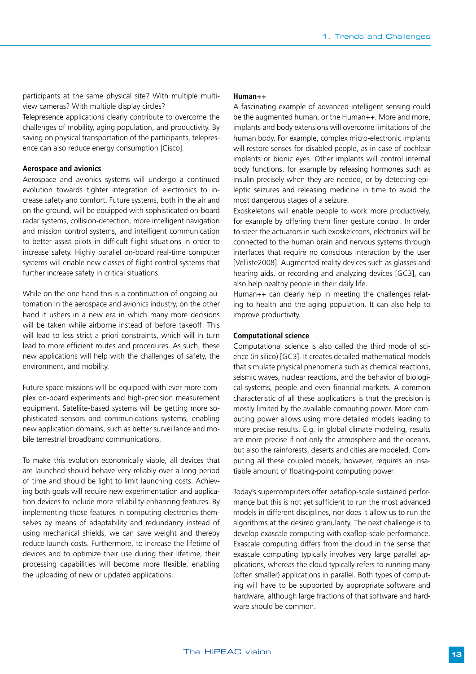participants at the same physical site? With multiple multiview cameras? With multiple display circles?

Telepresence applications clearly contribute to overcome the challenges of mobility, aging population, and productivity. By saving on physical transportation of the participants, telepresence can also reduce energy consumption [Cisco].

#### **Aerospace and avionics**

Aerospace and avionics systems will undergo a continued evolution towards tighter integration of electronics to increase safety and comfort. Future systems, both in the air and on the ground, will be equipped with sophisticated on-board radar systems, collision-detection, more intelligent navigation and mission control systems, and intelligent communication to better assist pilots in difficult flight situations in order to increase safety. Highly parallel on-board real-time computer systems will enable new classes of flight control systems that further increase safety in critical situations.

While on the one hand this is a continuation of ongoing automation in the aerospace and avionics industry, on the other hand it ushers in a new era in which many more decisions will be taken while airborne instead of before takeoff. This will lead to less strict a priori constraints, which will in turn lead to more efficient routes and procedures. As such, these new applications will help with the challenges of safety, the environment, and mobility.

Future space missions will be equipped with ever more complex on-board experiments and high-precision measurement equipment. Satellite-based systems will be getting more sophisticated sensors and communications systems, enabling new application domains, such as better surveillance and mobile terrestrial broadband communications.

To make this evolution economically viable, all devices that are launched should behave very reliably over a long period of time and should be light to limit launching costs. Achieving both goals will require new experimentation and application devices to include more reliability-enhancing features. By implementing those features in computing electronics themselves by means of adaptability and redundancy instead of using mechanical shields, we can save weight and thereby reduce launch costs. Furthermore, to increase the lifetime of devices and to optimize their use during their lifetime, their processing capabilities will become more flexible, enabling the uploading of new or updated applications.

#### **Human++**

A fascinating example of advanced intelligent sensing could be the augmented human, or the Human++. More and more, implants and body extensions will overcome limitations of the human body. For example, complex micro-electronic implants will restore senses for disabled people, as in case of cochlear implants or bionic eyes. Other implants will control internal body functions, for example by releasing hormones such as insulin precisely when they are needed, or by detecting epileptic seizures and releasing medicine in time to avoid the most dangerous stages of a seizure.

Exoskeletons will enable people to work more productively, for example by offering them finer gesture control. In order to steer the actuators in such exoskeletons, electronics will be connected to the human brain and nervous systems through interfaces that require no conscious interaction by the user [Velliste2008]. Augmented reality devices such as glasses and hearing aids, or recording and analyzing devices [GC3], can also help healthy people in their daily life.

Human++ can clearly help in meeting the challenges relating to health and the aging population. It can also help to improve productivity.

#### **Computational science**

Computational science is also called the third mode of science (in silico) [GC3]. It creates detailed mathematical models that simulate physical phenomena such as chemical reactions, seismic waves, nuclear reactions, and the behavior of biological systems, people and even financial markets. A common characteristic of all these applications is that the precision is mostly limited by the available computing power. More computing power allows using more detailed models leading to more precise results. E.g. in global climate modeling, results are more precise if not only the atmosphere and the oceans, but also the rainforests, deserts and cities are modeled. Computing all these coupled models, however, requires an insatiable amount of floating-point computing power.

Today's supercomputers offer petaflop-scale sustained performance but this is not yet sufficient to run the most advanced models in different disciplines, nor does it allow us to run the algorithms at the desired granularity. The next challenge is to develop exascale computing with exaflop-scale performance. Exascale computing differs from the cloud in the sense that exascale computing typically involves very large parallel applications, whereas the cloud typically refers to running many (often smaller) applications in parallel. Both types of computing will have to be supported by appropriate software and hardware, although large fractions of that software and hardware should be common.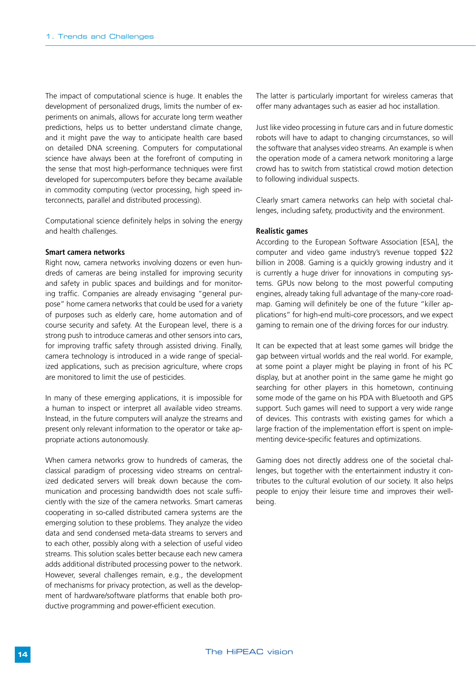The impact of computational science is huge. It enables the development of personalized drugs, limits the number of experiments on animals, allows for accurate long term weather predictions, helps us to better understand climate change, and it might pave the way to anticipate health care based on detailed DNA screening. Computers for computational science have always been at the forefront of computing in the sense that most high-performance techniques were first developed for supercomputers before they became available in commodity computing (vector processing, high speed interconnects, parallel and distributed processing).

Computational science definitely helps in solving the energy and health challenges.

#### **Smart camera networks**

Right now, camera networks involving dozens or even hundreds of cameras are being installed for improving security and safety in public spaces and buildings and for monitoring traffic. Companies are already envisaging "general purpose" home camera networks that could be used for a variety of purposes such as elderly care, home automation and of course security and safety. At the European level, there is a strong push to introduce cameras and other sensors into cars, for improving traffic safety through assisted driving. Finally, camera technology is introduced in a wide range of specialized applications, such as precision agriculture, where crops are monitored to limit the use of pesticides.

In many of these emerging applications, it is impossible for a human to inspect or interpret all available video streams. Instead, in the future computers will analyze the streams and present only relevant information to the operator or take appropriate actions autonomously.

When camera networks grow to hundreds of cameras, the classical paradigm of processing video streams on centralized dedicated servers will break down because the communication and processing bandwidth does not scale sufficiently with the size of the camera networks. Smart cameras cooperating in so-called distributed camera systems are the emerging solution to these problems. They analyze the video data and send condensed meta-data streams to servers and to each other, possibly along with a selection of useful video streams. This solution scales better because each new camera adds additional distributed processing power to the network. However, several challenges remain, e.g., the development of mechanisms for privacy protection, as well as the development of hardware/software platforms that enable both productive programming and power-efficient execution.

The latter is particularly important for wireless cameras that offer many advantages such as easier ad hoc installation.

Just like video processing in future cars and in future domestic robots will have to adapt to changing circumstances, so will the software that analyses video streams. An example is when the operation mode of a camera network monitoring a large crowd has to switch from statistical crowd motion detection to following individual suspects.

Clearly smart camera networks can help with societal challenges, including safety, productivity and the environment.

#### **Realistic games**

According to the European Software Association [ESA], the computer and video game industry's revenue topped \$22 billion in 2008. Gaming is a quickly growing industry and it is currently a huge driver for innovations in computing systems. GPUs now belong to the most powerful computing engines, already taking full advantage of the many-core roadmap. Gaming will definitely be one of the future "killer applications" for high-end multi-core processors, and we expect gaming to remain one of the driving forces for our industry.

It can be expected that at least some games will bridge the gap between virtual worlds and the real world. For example, at some point a player might be playing in front of his PC display, but at another point in the same game he might go searching for other players in this hometown, continuing some mode of the game on his PDA with Bluetooth and GPS support. Such games will need to support a very wide range of devices. This contrasts with existing games for which a large fraction of the implementation effort is spent on implementing device-specific features and optimizations.

Gaming does not directly address one of the societal challenges, but together with the entertainment industry it contributes to the cultural evolution of our society. It also helps people to enjoy their leisure time and improves their wellbeing.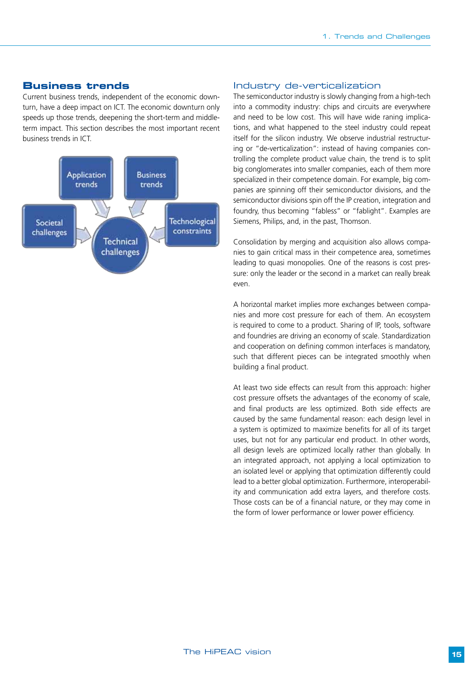#### **Business trends**

Current business trends, independent of the economic downturn, have a deep impact on ICT. The economic downturn only speeds up those trends, deepening the short-term and middleterm impact. This section describes the most important recent business trends in ICT.



#### Industry de-verticalization

The semiconductor industry is slowly changing from a high-tech into a commodity industry: chips and circuits are everywhere and need to be low cost. This will have wide raning implications, and what happened to the steel industry could repeat itself for the silicon industry. We observe industrial restructuring or "de-verticalization": instead of having companies controlling the complete product value chain, the trend is to split big conglomerates into smaller companies, each of them more specialized in their competence domain. For example, big companies are spinning off their semiconductor divisions, and the semiconductor divisions spin off the IP creation, integration and foundry, thus becoming "fabless" or "fablight". Examples are Siemens, Philips, and, in the past, Thomson.

Consolidation by merging and acquisition also allows companies to gain critical mass in their competence area, sometimes leading to quasi monopolies. One of the reasons is cost pressure: only the leader or the second in a market can really break even.

A horizontal market implies more exchanges between companies and more cost pressure for each of them. An ecosystem is required to come to a product. Sharing of IP, tools, software and foundries are driving an economy of scale. Standardization and cooperation on defining common interfaces is mandatory, such that different pieces can be integrated smoothly when building a final product.

At least two side effects can result from this approach: higher cost pressure offsets the advantages of the economy of scale, and final products are less optimized. Both side effects are caused by the same fundamental reason: each design level in a system is optimized to maximize benefits for all of its target uses, but not for any particular end product. In other words, all design levels are optimized locally rather than globally. In an integrated approach, not applying a local optimization to an isolated level or applying that optimization differently could lead to a better global optimization. Furthermore, interoperability and communication add extra layers, and therefore costs. Those costs can be of a financial nature, or they may come in the form of lower performance or lower power efficiency.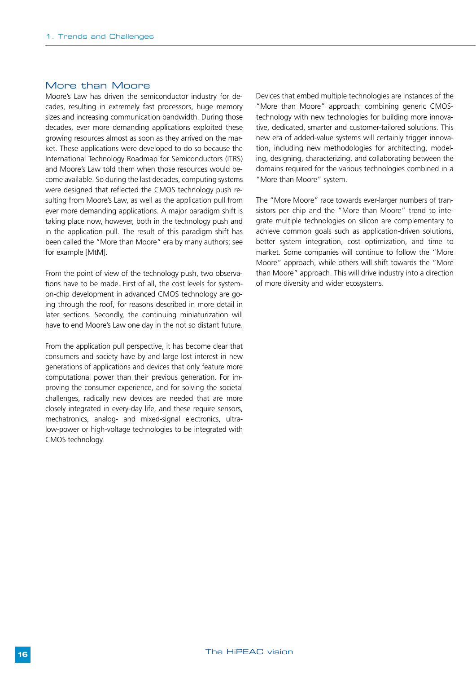#### More than Moore

Moore's Law has driven the semiconductor industry for decades, resulting in extremely fast processors, huge memory sizes and increasing communication bandwidth. During those decades, ever more demanding applications exploited these growing resources almost as soon as they arrived on the market. These applications were developed to do so because the International Technology Roadmap for Semiconductors (ITRS) and Moore's Law told them when those resources would become available. So during the last decades, computing systems were designed that reflected the CMOS technology push resulting from Moore's Law, as well as the application pull from ever more demanding applications. A major paradigm shift is taking place now, however, both in the technology push and in the application pull. The result of this paradigm shift has been called the "More than Moore" era by many authors; see for example [MtM].

From the point of view of the technology push, two observations have to be made. First of all, the cost levels for systemon-chip development in advanced CMOS technology are going through the roof, for reasons described in more detail in later sections. Secondly, the continuing miniaturization will have to end Moore's Law one day in the not so distant future.

From the application pull perspective, it has become clear that consumers and society have by and large lost interest in new generations of applications and devices that only feature more computational power than their previous generation. For improving the consumer experience, and for solving the societal challenges, radically new devices are needed that are more closely integrated in every-day life, and these require sensors, mechatronics, analog- and mixed-signal electronics, ultralow-power or high-voltage technologies to be integrated with CMOS technology.

Devices that embed multiple technologies are instances of the "More than Moore" approach: combining generic CMOStechnology with new technologies for building more innovative, dedicated, smarter and customer-tailored solutions. This new era of added-value systems will certainly trigger innovation, including new methodologies for architecting, modeling, designing, characterizing, and collaborating between the domains required for the various technologies combined in a "More than Moore" system.

The "More Moore" race towards ever-larger numbers of transistors per chip and the "More than Moore" trend to integrate multiple technologies on silicon are complementary to achieve common goals such as application-driven solutions, better system integration, cost optimization, and time to market. Some companies will continue to follow the "More Moore" approach, while others will shift towards the "More than Moore" approach. This will drive industry into a direction of more diversity and wider ecosystems.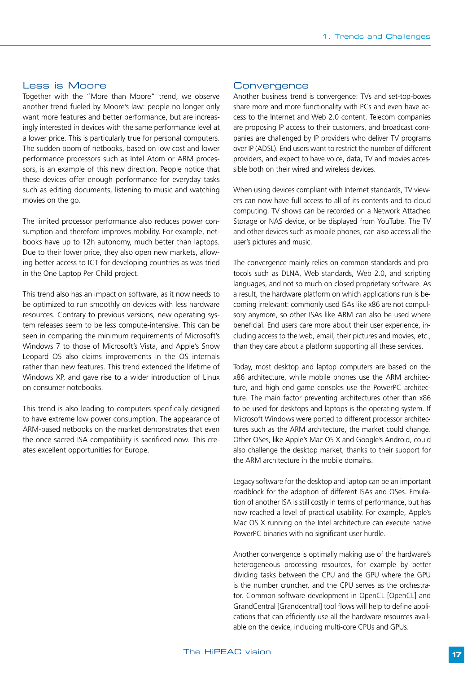#### Less is Moore

Together with the "More than Moore" trend, we observe another trend fueled by Moore's law: people no longer only want more features and better performance, but are increasingly interested in devices with the same performance level at a lower price. This is particularly true for personal computers. The sudden boom of netbooks, based on low cost and lower performance processors such as Intel Atom or ARM processors, is an example of this new direction. People notice that these devices offer enough performance for everyday tasks such as editing documents, listening to music and watching movies on the go.

The limited processor performance also reduces power consumption and therefore improves mobility. For example, netbooks have up to 12h autonomy, much better than laptops. Due to their lower price, they also open new markets, allowing better access to ICT for developing countries as was tried in the One Laptop Per Child project.

This trend also has an impact on software, as it now needs to be optimized to run smoothly on devices with less hardware resources. Contrary to previous versions, new operating system releases seem to be less compute-intensive. This can be seen in comparing the minimum requirements of Microsoft's Windows 7 to those of Microsoft's Vista, and Apple's Snow Leopard OS also claims improvements in the OS internals rather than new features. This trend extended the lifetime of Windows XP, and gave rise to a wider introduction of Linux on consumer notebooks.

This trend is also leading to computers specifically designed to have extreme low power consumption. The appearance of ARM-based netbooks on the market demonstrates that even the once sacred ISA compatibility is sacrificed now. This creates excellent opportunities for Europe.

#### **Convergence**

Another business trend is convergence: TVs and set-top-boxes share more and more functionality with PCs and even have access to the Internet and Web 2.0 content. Telecom companies are proposing IP access to their customers, and broadcast companies are challenged by IP providers who deliver TV programs over IP (ADSL). End users want to restrict the number of different providers, and expect to have voice, data, TV and movies accessible both on their wired and wireless devices.

When using devices compliant with Internet standards, TV viewers can now have full access to all of its contents and to cloud computing. TV shows can be recorded on a Network Attached Storage or NAS device, or be displayed from YouTube. The TV and other devices such as mobile phones, can also access all the user's pictures and music.

The convergence mainly relies on common standards and protocols such as DLNA, Web standards, Web 2.0, and scripting languages, and not so much on closed proprietary software. As a result, the hardware platform on which applications run is becoming irrelevant: commonly used ISAs like x86 are not compulsory anymore, so other ISAs like ARM can also be used where beneficial. End users care more about their user experience, including access to the web, email, their pictures and movies, etc., than they care about a platform supporting all these services.

Today, most desktop and laptop computers are based on the x86 architecture, while mobile phones use the ARM architecture, and high end game consoles use the PowerPC architecture. The main factor preventing architectures other than x86 to be used for desktops and laptops is the operating system. If Microsoft Windows were ported to different processor architectures such as the ARM architecture, the market could change. Other OSes, like Apple's Mac OS X and Google's Android, could also challenge the desktop market, thanks to their support for the ARM architecture in the mobile domains.

Legacy software for the desktop and laptop can be an important roadblock for the adoption of different ISAs and OSes. Emulation of another ISA is still costly in terms of performance, but has now reached a level of practical usability. For example, Apple's Mac OS X running on the Intel architecture can execute native PowerPC binaries with no significant user hurdle.

Another convergence is optimally making use of the hardware's heterogeneous processing resources, for example by better dividing tasks between the CPU and the GPU where the GPU is the number cruncher, and the CPU serves as the orchestrator. Common software development in OpenCL [OpenCL] and GrandCentral [Grandcentral] tool flows will help to define applications that can efficiently use all the hardware resources available on the device, including multi-core CPUs and GPUs.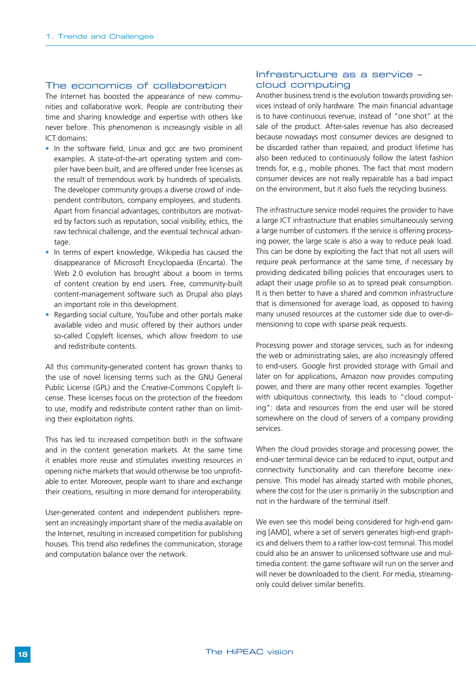#### The economics of collaboration

The Internet has boosted the appearance of new communities and collaborative work. People are contributing their time and sharing knowledge and expertise with others like never before. This phenomenon is increasingly visible in all ICT domains:

- In the software field, Linux and gcc are two prominent examples. A state-of-the-art operating system and compiler have been built, and are offered under free licenses as the result of tremendous work by hundreds of specialists. The developer community groups a diverse crowd of independent contributors, company employees, and students. Apart from financial advantages, contributors are motivated by factors such as reputation, social visibility, ethics, the raw technical challenge, and the eventual technical advantage.
- In terms of expert knowledge, Wikipedia has caused the disappearance of Microsoft Encyclopaedia (Encarta). The Web 2.0 evolution has brought about a boom in terms of content creation by end users. Free, community-built content-management software such as Drupal also plays an important role in this development.
- Regarding social culture, YouTube and other portals make available video and music offered by their authors under so-called Copyleft licenses, which allow freedom to use and redistribute contents.

All this community-generated content has grown thanks to the use of novel licensing terms such as the GNU General Public License (GPL) and the Creative-Commons Copyleft license. These licenses focus on the protection of the freedom to use, modify and redistribute content rather than on limiting their exploitation rights.

This has led to increased competition both in the software and in the content generation markets. At the same time it enables more reuse and stimulates investing resources in opening niche markets that would otherwise be too unprofitable to enter. Moreover, people want to share and exchange their creations, resulting in more demand for interoperability.

User-generated content and independent publishers represent an increasingly important share of the media available on the Internet, resulting in increased competition for publishing houses. This trend also redefines the communication, storage and computation balance over the network.

#### Infrastructure as a service – cloud computing

Another business trend is the evolution towards providing services instead of only hardware. The main financial advantage is to have continuous revenue, instead of "one shot" at the sale of the product. After-sales revenue has also decreased because nowadays most consumer devices are designed to be discarded rather than repaired, and product lifetime has also been reduced to continuously follow the latest fashion trends for, e.g., mobile phones. The fact that most modern consumer devices are not really repairable has a bad impact on the environment, but it also fuels the recycling business.

The infrastructure service model requires the provider to have a large ICT infrastructure that enables simultaneously serving a large number of customers. If the service is offering processing power, the large scale is also a way to reduce peak load. This can be done by exploiting the fact that not all users will require peak performance at the same time, if necessary by providing dedicated billing policies that encourages users to adapt their usage profile so as to spread peak consumption. It is then better to have a shared and common infrastructure that is dimensioned for average load, as opposed to having many unused resources at the customer side due to over-dimensioning to cope with sparse peak requests.

Processing power and storage services, such as for indexing the web or administrating sales, are also increasingly offered to end-users. Google first provided storage with Gmail and later on for applications, Amazon now provides computing power, and there are many other recent examples. Together with ubiquitous connectivity, this leads to "cloud computing": data and resources from the end user will be stored somewhere on the cloud of servers of a company providing services.

When the cloud provides storage and processing power, the end-user terminal device can be reduced to input, output and connectivity functionality and can therefore become inexpensive. This model has already started with mobile phones, where the cost for the user is primarily in the subscription and not in the hardware of the terminal itself.

We even see this model being considered for high-end gaming [AMD], where a set of servers generates high-end graphics and delivers them to a rather low-cost terminal. This model could also be an answer to unlicensed software use and multimedia content: the game software will run on the server and will never be downloaded to the client. For media, streamingonly could deliver similar benefits.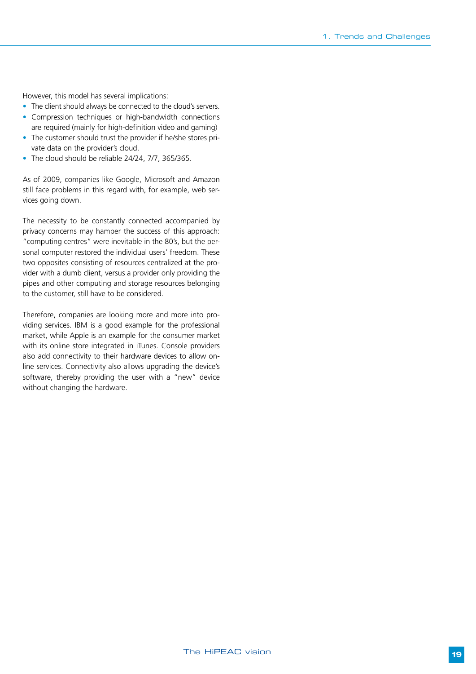However, this model has several implications:

- The client should always be connected to the cloud's servers.
- Compression techniques or high-bandwidth connections are required (mainly for high-definition video and gaming)
- The customer should trust the provider if he/she stores private data on the provider's cloud.
- The cloud should be reliable 24/24, 7/7, 365/365.

As of 2009, companies like Google, Microsoft and Amazon still face problems in this regard with, for example, web services going down.

The necessity to be constantly connected accompanied by privacy concerns may hamper the success of this approach: "computing centres" were inevitable in the 80's, but the personal computer restored the individual users' freedom. These two opposites consisting of resources centralized at the provider with a dumb client, versus a provider only providing the pipes and other computing and storage resources belonging to the customer, still have to be considered.

Therefore, companies are looking more and more into providing services. IBM is a good example for the professional market, while Apple is an example for the consumer market with its online store integrated in iTunes. Console providers also add connectivity to their hardware devices to allow online services. Connectivity also allows upgrading the device's software, thereby providing the user with a "new" device without changing the hardware.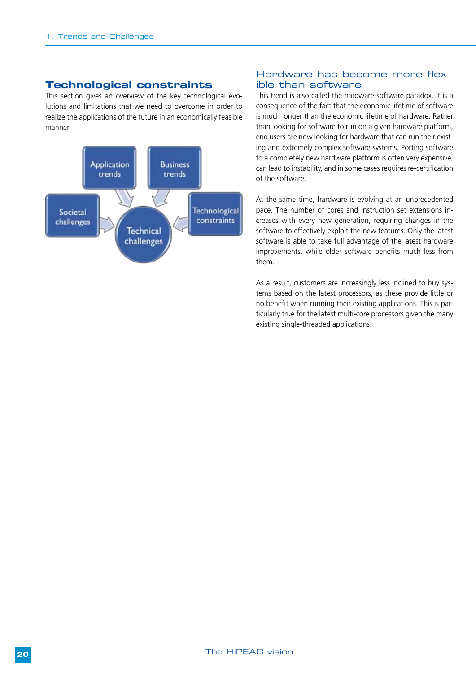#### **Technological constraints**

This section gives an overview of the key technological evolutions and limitations that we need to overcome in order to realize the applications of the future in an economically feasible manner.



#### Hardware has become more flexible than software

This trend is also called the hardware-software paradox. It is a consequence of the fact that the economic lifetime of software is much longer than the economic lifetime of hardware. Rather than looking for software to run on a given hardware platform, end users are now looking for hardware that can run their existing and extremely complex software systems. Porting software to a completely new hardware platform is often very expensive, can lead to instability, and in some cases requires re-certification of the software.

At the same time, hardware is evolving at an unprecedented pace. The number of cores and instruction set extensions increases with every new generation, requiring changes in the software to effectively exploit the new features. Only the latest software is able to take full advantage of the latest hardware improvements, while older software benefits much less from them.

As a result, customers are increasingly less inclined to buy systems based on the latest processors, as these provide little or no benefit when running their existing applications. This is particularly true for the latest multi-core processors given the many existing single-threaded applications.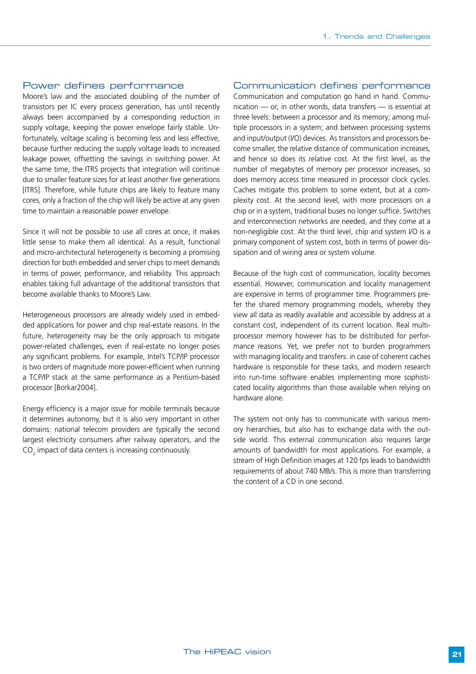#### Power defines performance

Moore's law and the associated doubling of the number of transistors per IC every process generation, has until recently always been accompanied by a corresponding reduction in supply voltage, keeping the power envelope fairly stable. Unfortunately, voltage scaling is becoming less and less effective, because further reducing the supply voltage leads to increased leakage power, offsetting the savings in switching power. At the same time, the ITRS projects that integration will continue due to smaller feature sizes for at least another five generations [ITRS]. Therefore, while future chips are likely to feature many cores, only a fraction of the chip will likely be active at any given time to maintain a reasonable power envelope.

Since it will not be possible to use all cores at once, it makes little sense to make them all identical. As a result, functional and micro-architectural heterogeneity is becoming a promising direction for both embedded and server chips to meet demands in terms of power, performance, and reliability. This approach enables taking full advantage of the additional transistors that become available thanks to Moore's Law.

Heterogeneous processors are already widely used in embedded applications for power and chip real-estate reasons. In the future, heterogeneity may be the only approach to mitigate power-related challenges, even if real-estate no longer poses any significant problems. For example, Intel's TCP/IP processor is two orders of magnitude more power-efficient when running a TCP/IP stack at the same performance as a Pentium-based processor [Borkar2004].

Energy efficiency is a major issue for mobile terminals because it determines autonomy, but it is also very important in other domains: national telecom providers are typically the second largest electricity consumers after railway operators, and the  $\mathsf{CO}_2^{}$  impact of data centers is increasing continuously.

#### Communication defines performance

Communication and computation go hand in hand. Communication — or, in other words, data transfers — is essential at three levels: between a processor and its memory; among multiple processors in a system; and between processing systems and input/output (I/O) devices. As transistors and processors become smaller, the relative distance of communication increases, and hence so does its relative cost. At the first level, as the number of megabytes of memory per processor increases, so does memory access time measured in processor clock cycles. Caches mitigate this problem to some extent, but at a complexity cost. At the second level, with more processors on a chip or in a system, traditional buses no longer suffice. Switches and interconnection networks are needed, and they come at a non-negligible cost. At the third level, chip and system I/O is a primary component of system cost, both in terms of power dissipation and of wiring area or system volume.

Because of the high cost of communication, locality becomes essential. However, communication and locality management are expensive in terms of programmer time. Programmers prefer the shared memory programming models, whereby they view all data as readily available and accessible by address at a constant cost, independent of its current location. Real multiprocessor memory however has to be distributed for performance reasons. Yet, we prefer not to burden programmers with managing locality and transfers: in case of coherent caches hardware is responsible for these tasks, and modern research into run-time software enables implementing more sophisticated locality algorithms than those available when relying on hardware alone.

The system not only has to communicate with various memory hierarchies, but also has to exchange data with the outside world. This external communication also requires large amounts of bandwidth for most applications. For example, a stream of High Definition images at 120 fps leads to bandwidth requirements of about 740 MB/s. This is more than transferring the content of a CD in one second.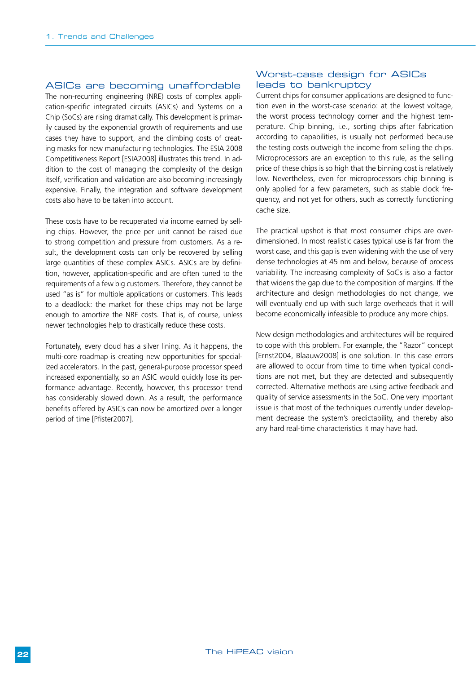#### ASICs are becoming unaffordable

The non-recurring engineering (NRE) costs of complex application-specific integrated circuits (ASICs) and Systems on a Chip (SoCs) are rising dramatically. This development is primarily caused by the exponential growth of requirements and use cases they have to support, and the climbing costs of creating masks for new manufacturing technologies. The ESIA 2008 Competitiveness Report [ESIA2008] illustrates this trend. In addition to the cost of managing the complexity of the design itself, verification and validation are also becoming increasingly expensive. Finally, the integration and software development costs also have to be taken into account.

These costs have to be recuperated via income earned by selling chips. However, the price per unit cannot be raised due to strong competition and pressure from customers. As a result, the development costs can only be recovered by selling large quantities of these complex ASICs. ASICs are by definition, however, application-specific and are often tuned to the requirements of a few big customers. Therefore, they cannot be used "as is" for multiple applications or customers. This leads to a deadlock: the market for these chips may not be large enough to amortize the NRE costs. That is, of course, unless newer technologies help to drastically reduce these costs.

Fortunately, every cloud has a silver lining. As it happens, the multi-core roadmap is creating new opportunities for specialized accelerators. In the past, general-purpose processor speed increased exponentially, so an ASIC would quickly lose its performance advantage. Recently, however, this processor trend has considerably slowed down. As a result, the performance benefits offered by ASICs can now be amortized over a longer period of time [Pfister2007].

#### Worst-case design for ASICs leads to bankruptcy

Current chips for consumer applications are designed to function even in the worst-case scenario: at the lowest voltage, the worst process technology corner and the highest temperature. Chip binning, i.e., sorting chips after fabrication according to capabilities, is usually not performed because the testing costs outweigh the income from selling the chips. Microprocessors are an exception to this rule, as the selling price of these chips is so high that the binning cost is relatively low. Nevertheless, even for microprocessors chip binning is only applied for a few parameters, such as stable clock frequency, and not yet for others, such as correctly functioning cache size.

The practical upshot is that most consumer chips are overdimensioned. In most realistic cases typical use is far from the worst case, and this gap is even widening with the use of very dense technologies at 45 nm and below, because of process variability. The increasing complexity of SoCs is also a factor that widens the gap due to the composition of margins. If the architecture and design methodologies do not change, we will eventually end up with such large overheads that it will become economically infeasible to produce any more chips.

New design methodologies and architectures will be required to cope with this problem. For example, the "Razor" concept [Ernst2004, Blaauw2008] is one solution. In this case errors are allowed to occur from time to time when typical conditions are not met, but they are detected and subsequently corrected. Alternative methods are using active feedback and quality of service assessments in the SoC. One very important issue is that most of the techniques currently under development decrease the system's predictability, and thereby also any hard real-time characteristics it may have had.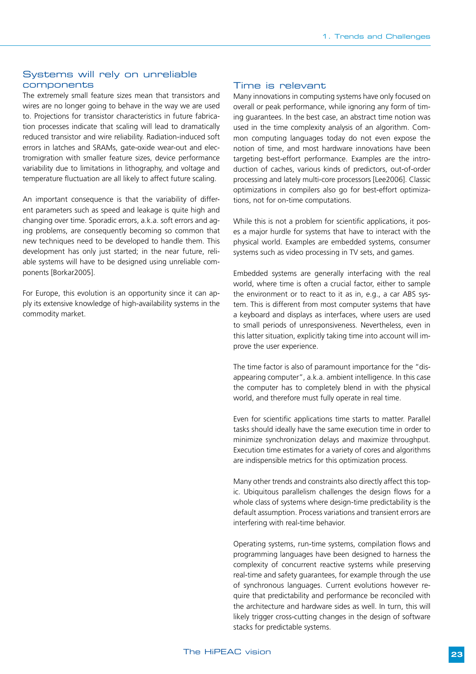#### Systems will rely on unreliable components

The extremely small feature sizes mean that transistors and wires are no longer going to behave in the way we are used to. Projections for transistor characteristics in future fabrication processes indicate that scaling will lead to dramatically reduced transistor and wire reliability. Radiation-induced soft errors in latches and SRAMs, gate-oxide wear-out and electromigration with smaller feature sizes, device performance variability due to limitations in lithography, and voltage and temperature fluctuation are all likely to affect future scaling.

An important consequence is that the variability of different parameters such as speed and leakage is quite high and changing over time. Sporadic errors, a.k.a. soft errors and aging problems, are consequently becoming so common that new techniques need to be developed to handle them. This development has only just started; in the near future, reliable systems will have to be designed using unreliable components [Borkar2005].

For Europe, this evolution is an opportunity since it can apply its extensive knowledge of high-availability systems in the commodity market.

#### Time is relevant

Many innovations in computing systems have only focused on overall or peak performance, while ignoring any form of timing guarantees. In the best case, an abstract time notion was used in the time complexity analysis of an algorithm. Common computing languages today do not even expose the notion of time, and most hardware innovations have been targeting best-effort performance. Examples are the introduction of caches, various kinds of predictors, out-of-order processing and lately multi-core processors [Lee2006]. Classic optimizations in compilers also go for best-effort optimizations, not for on-time computations.

While this is not a problem for scientific applications, it poses a major hurdle for systems that have to interact with the physical world. Examples are embedded systems, consumer systems such as video processing in TV sets, and games.

Embedded systems are generally interfacing with the real world, where time is often a crucial factor, either to sample the environment or to react to it as in, e.g., a car ABS system. This is different from most computer systems that have a keyboard and displays as interfaces, where users are used to small periods of unresponsiveness. Nevertheless, even in this latter situation, explicitly taking time into account will improve the user experience.

The time factor is also of paramount importance for the "disappearing computer", a.k.a. ambient intelligence. In this case the computer has to completely blend in with the physical world, and therefore must fully operate in real time.

Even for scientific applications time starts to matter. Parallel tasks should ideally have the same execution time in order to minimize synchronization delays and maximize throughput. Execution time estimates for a variety of cores and algorithms are indispensible metrics for this optimization process.

Many other trends and constraints also directly affect this topic. Ubiquitous parallelism challenges the design flows for a whole class of systems where design-time predictability is the default assumption. Process variations and transient errors are interfering with real-time behavior.

Operating systems, run-time systems, compilation flows and programming languages have been designed to harness the complexity of concurrent reactive systems while preserving real-time and safety guarantees, for example through the use of synchronous languages. Current evolutions however require that predictability and performance be reconciled with the architecture and hardware sides as well. In turn, this will likely trigger cross-cutting changes in the design of software stacks for predictable systems.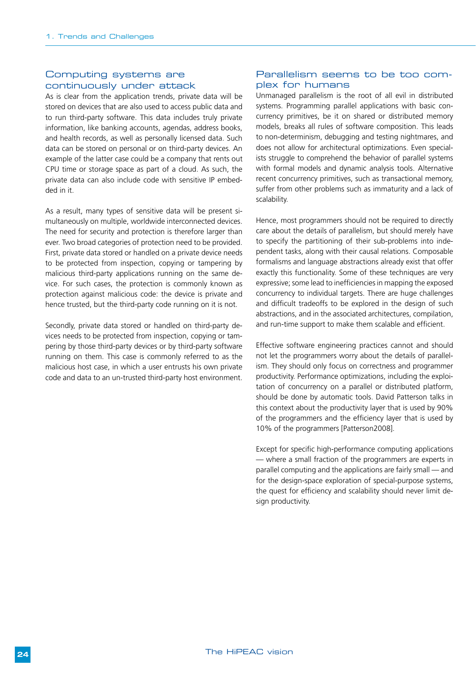#### Computing systems are continuously under attack

As is clear from the application trends, private data will be stored on devices that are also used to access public data and to run third-party software. This data includes truly private information, like banking accounts, agendas, address books, and health records, as well as personally licensed data. Such data can be stored on personal or on third-party devices. An example of the latter case could be a company that rents out CPU time or storage space as part of a cloud. As such, the private data can also include code with sensitive IP embedded in it.

As a result, many types of sensitive data will be present simultaneously on multiple, worldwide interconnected devices. The need for security and protection is therefore larger than ever. Two broad categories of protection need to be provided. First, private data stored or handled on a private device needs to be protected from inspection, copying or tampering by malicious third-party applications running on the same device. For such cases, the protection is commonly known as protection against malicious code: the device is private and hence trusted, but the third-party code running on it is not.

Secondly, private data stored or handled on third-party devices needs to be protected from inspection, copying or tampering by those third-party devices or by third-party software running on them. This case is commonly referred to as the malicious host case, in which a user entrusts his own private code and data to an un-trusted third-party host environment.

#### Parallelism seems to be too complex for humans

Unmanaged parallelism is the root of all evil in distributed systems. Programming parallel applications with basic concurrency primitives, be it on shared or distributed memory models, breaks all rules of software composition. This leads to non-determinism, debugging and testing nightmares, and does not allow for architectural optimizations. Even specialists struggle to comprehend the behavior of parallel systems with formal models and dynamic analysis tools. Alternative recent concurrency primitives, such as transactional memory, suffer from other problems such as immaturity and a lack of scalability.

Hence, most programmers should not be required to directly care about the details of parallelism, but should merely have to specify the partitioning of their sub-problems into independent tasks, along with their causal relations. Composable formalisms and language abstractions already exist that offer exactly this functionality. Some of these techniques are very expressive; some lead to inefficiencies in mapping the exposed concurrency to individual targets. There are huge challenges and difficult tradeoffs to be explored in the design of such abstractions, and in the associated architectures, compilation, and run-time support to make them scalable and efficient.

Effective software engineering practices cannot and should not let the programmers worry about the details of parallelism. They should only focus on correctness and programmer productivity. Performance optimizations, including the exploitation of concurrency on a parallel or distributed platform, should be done by automatic tools. David Patterson talks in this context about the productivity layer that is used by 90% of the programmers and the efficiency layer that is used by 10% of the programmers [Patterson2008].

Except for specific high-performance computing applications — where a small fraction of the programmers are experts in parallel computing and the applications are fairly small — and for the design-space exploration of special-purpose systems, the quest for efficiency and scalability should never limit design productivity.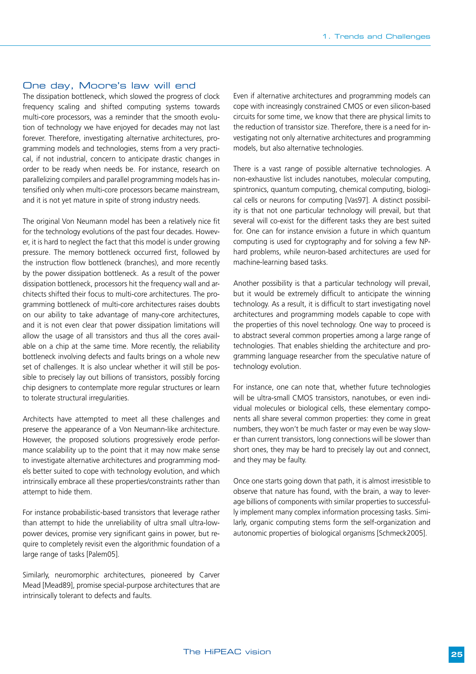#### One day, Moore's law will end

The dissipation bottleneck, which slowed the progress of clock frequency scaling and shifted computing systems towards multi-core processors, was a reminder that the smooth evolution of technology we have enjoyed for decades may not last forever. Therefore, investigating alternative architectures, programming models and technologies, stems from a very practical, if not industrial, concern to anticipate drastic changes in order to be ready when needs be. For instance, research on parallelizing compilers and parallel programming models has intensified only when multi-core processors became mainstream, and it is not yet mature in spite of strong industry needs.

The original Von Neumann model has been a relatively nice fit for the technology evolutions of the past four decades. However, it is hard to neglect the fact that this model is under growing pressure. The memory bottleneck occurred first, followed by the instruction flow bottleneck (branches), and more recently by the power dissipation bottleneck. As a result of the power dissipation bottleneck, processors hit the frequency wall and architects shifted their focus to multi-core architectures. The programming bottleneck of multi-core architectures raises doubts on our ability to take advantage of many-core architectures, and it is not even clear that power dissipation limitations will allow the usage of all transistors and thus all the cores available on a chip at the same time. More recently, the reliability bottleneck involving defects and faults brings on a whole new set of challenges. It is also unclear whether it will still be possible to precisely lay out billions of transistors, possibly forcing chip designers to contemplate more regular structures or learn to tolerate structural irregularities.

Architects have attempted to meet all these challenges and preserve the appearance of a Von Neumann-like architecture. However, the proposed solutions progressively erode performance scalability up to the point that it may now make sense to investigate alternative architectures and programming models better suited to cope with technology evolution, and which intrinsically embrace all these properties/constraints rather than attempt to hide them.

For instance probabilistic-based transistors that leverage rather than attempt to hide the unreliability of ultra small ultra-lowpower devices, promise very significant gains in power, but require to completely revisit even the algorithmic foundation of a large range of tasks [Palem05].

Similarly, neuromorphic architectures, pioneered by Carver Mead [Mead89], promise special-purpose architectures that are intrinsically tolerant to defects and faults.

Even if alternative architectures and programming models can cope with increasingly constrained CMOS or even silicon-based circuits for some time, we know that there are physical limits to the reduction of transistor size. Therefore, there is a need for investigating not only alternative architectures and programming models, but also alternative technologies.

There is a vast range of possible alternative technologies. A non-exhaustive list includes nanotubes, molecular computing, spintronics, quantum computing, chemical computing, biological cells or neurons for computing [Vas97]. A distinct possibility is that not one particular technology will prevail, but that several will co-exist for the different tasks they are best suited for. One can for instance envision a future in which quantum computing is used for cryptography and for solving a few NPhard problems, while neuron-based architectures are used for machine-learning based tasks.

Another possibility is that a particular technology will prevail, but it would be extremely difficult to anticipate the winning technology. As a result, it is difficult to start investigating novel architectures and programming models capable to cope with the properties of this novel technology. One way to proceed is to abstract several common properties among a large range of technologies. That enables shielding the architecture and programming language researcher from the speculative nature of technology evolution.

For instance, one can note that, whether future technologies will be ultra-small CMOS transistors, nanotubes, or even individual molecules or biological cells, these elementary components all share several common properties: they come in great numbers, they won't be much faster or may even be way slower than current transistors, long connections will be slower than short ones, they may be hard to precisely lay out and connect, and they may be faulty.

Once one starts going down that path, it is almost irresistible to observe that nature has found, with the brain, a way to leverage billions of components with similar properties to successfully implement many complex information processing tasks. Similarly, organic computing stems form the self-organization and autonomic properties of biological organisms [Schmeck2005].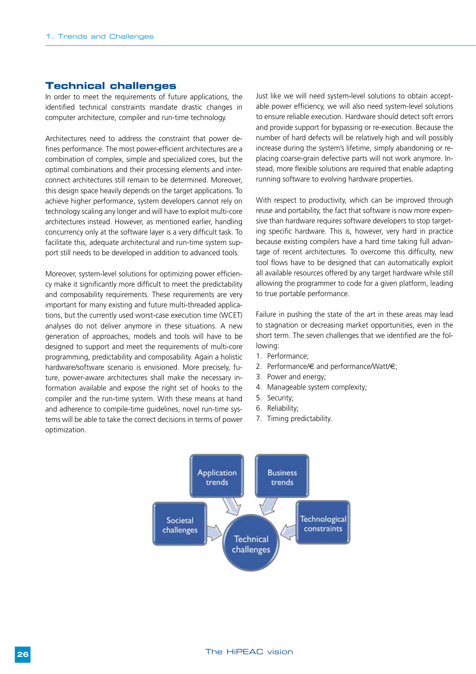#### **Technical challenges**

In order to meet the requirements of future applications, the identified technical constraints mandate drastic changes in computer architecture, compiler and run-time technology.

Architectures need to address the constraint that power defines performance. The most power-efficient architectures are a combination of complex, simple and specialized cores, but the optimal combinations and their processing elements and interconnect architectures still remain to be determined. Moreover, this design space heavily depends on the target applications. To achieve higher performance, system developers cannot rely on technology scaling any longer and will have to exploit multi-core architectures instead. However, as mentioned earlier, handling concurrency only at the software layer is a very difficult task. To facilitate this, adequate architectural and run-time system support still needs to be developed in addition to advanced tools.

Moreover, system-level solutions for optimizing power efficiency make it significantly more difficult to meet the predictability and composability requirements. These requirements are very important for many existing and future multi-threaded applications, but the currently used worst-case execution time (WCET) analyses do not deliver anymore in these situations. A new generation of approaches, models and tools will have to be designed to support and meet the requirements of multi-core programming, predictability and composability. Again a holistic hardware/software scenario is envisioned. More precisely, future, power-aware architectures shall make the necessary information available and expose the right set of hooks to the compiler and the run-time system. With these means at hand and adherence to compile-time guidelines, novel run-time systems will be able to take the correct decisions in terms of power optimization.

Just like we will need system-level solutions to obtain acceptable power efficiency, we will also need system-level solutions to ensure reliable execution. Hardware should detect soft errors and provide support for bypassing or re-execution. Because the number of hard defects will be relatively high and will possibly increase during the system's lifetime, simply abandoning or replacing coarse-grain defective parts will not work anymore. Instead, more flexible solutions are required that enable adapting running software to evolving hardware properties.

With respect to productivity, which can be improved through reuse and portability, the fact that software is now more expensive than hardware requires software developers to stop targeting specific hardware. This is, however, very hard in practice because existing compilers have a hard time taking full advantage of recent architectures. To overcome this difficulty, new tool flows have to be designed that can automatically exploit all available resources offered by any target hardware while still allowing the programmer to code for a given platform, leading to true portable performance.

Failure in pushing the state of the art in these areas may lead to stagnation or decreasing market opportunities, even in the short term. The seven challenges that we identified are the following:

- 1. Performance;
- 2. Performance/€ and performance/Watt/€;
- 3. Power and energy;
- 4. Manageable system complexity;
- 5. Security;
- 6. Reliability;
- 7. Timing predictability.

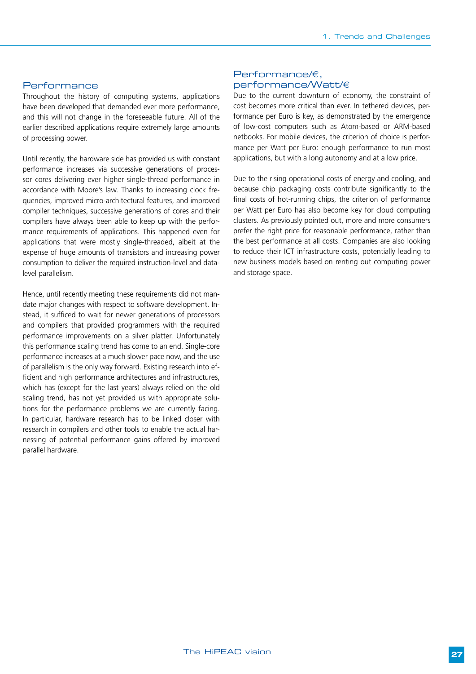#### Performance

Throughout the history of computing systems, applications have been developed that demanded ever more performance, and this will not change in the foreseeable future. All of the earlier described applications require extremely large amounts of processing power.

Until recently, the hardware side has provided us with constant performance increases via successive generations of processor cores delivering ever higher single-thread performance in accordance with Moore's law. Thanks to increasing clock frequencies, improved micro-architectural features, and improved compiler techniques, successive generations of cores and their compilers have always been able to keep up with the performance requirements of applications. This happened even for applications that were mostly single-threaded, albeit at the expense of huge amounts of transistors and increasing power consumption to deliver the required instruction-level and datalevel parallelism.

Hence, until recently meeting these requirements did not mandate major changes with respect to software development. Instead, it sufficed to wait for newer generations of processors and compilers that provided programmers with the required performance improvements on a silver platter. Unfortunately this performance scaling trend has come to an end. Single-core performance increases at a much slower pace now, and the use of parallelism is the only way forward. Existing research into efficient and high performance architectures and infrastructures, which has (except for the last years) always relied on the old scaling trend, has not yet provided us with appropriate solutions for the performance problems we are currently facing. In particular, hardware research has to be linked closer with research in compilers and other tools to enable the actual harnessing of potential performance gains offered by improved parallel hardware.

#### Performance/€, performance/Watt/€

Due to the current downturn of economy, the constraint of cost becomes more critical than ever. In tethered devices, performance per Euro is key, as demonstrated by the emergence of low-cost computers such as Atom-based or ARM-based netbooks. For mobile devices, the criterion of choice is performance per Watt per Euro: enough performance to run most applications, but with a long autonomy and at a low price.

Due to the rising operational costs of energy and cooling, and because chip packaging costs contribute significantly to the final costs of hot-running chips, the criterion of performance per Watt per Euro has also become key for cloud computing clusters. As previously pointed out, more and more consumers prefer the right price for reasonable performance, rather than the best performance at all costs. Companies are also looking to reduce their ICT infrastructure costs, potentially leading to new business models based on renting out computing power and storage space.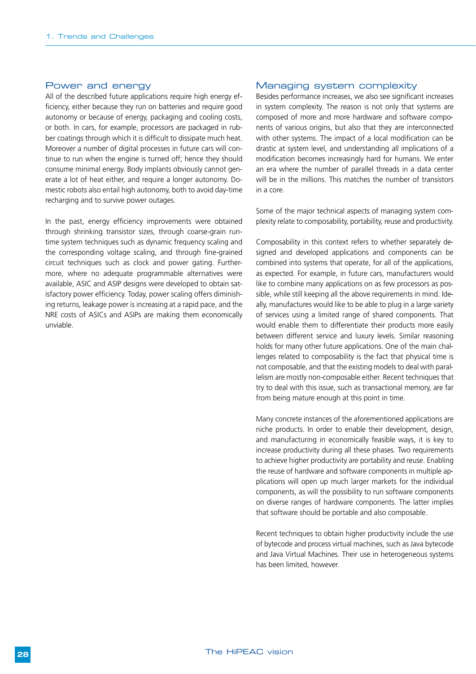#### Power and energy

All of the described future applications require high energy efficiency, either because they run on batteries and require good autonomy or because of energy, packaging and cooling costs, or both. In cars, for example, processors are packaged in rubber coatings through which it is difficult to dissipate much heat. Moreover a number of digital processes in future cars will continue to run when the engine is turned off; hence they should consume minimal energy. Body implants obviously cannot generate a lot of heat either, and require a longer autonomy. Domestic robots also entail high autonomy, both to avoid day-time recharging and to survive power outages.

In the past, energy efficiency improvements were obtained through shrinking transistor sizes, through coarse-grain runtime system techniques such as dynamic frequency scaling and the corresponding voltage scaling, and through fine-grained circuit techniques such as clock and power gating. Furthermore, where no adequate programmable alternatives were available, ASIC and ASIP designs were developed to obtain satisfactory power efficiency. Today, power scaling offers diminishing returns, leakage power is increasing at a rapid pace, and the NRE costs of ASICs and ASIPs are making them economically unviable.

#### Managing system complexity

Besides performance increases, we also see significant increases in system complexity. The reason is not only that systems are composed of more and more hardware and software components of various origins, but also that they are interconnected with other systems. The impact of a local modification can be drastic at system level, and understanding all implications of a modification becomes increasingly hard for humans. We enter an era where the number of parallel threads in a data center will be in the millions. This matches the number of transistors in a core.

Some of the major technical aspects of managing system complexity relate to composability, portability, reuse and productivity.

Composability in this context refers to whether separately designed and developed applications and components can be combined into systems that operate, for all of the applications, as expected. For example, in future cars, manufacturers would like to combine many applications on as few processors as possible, while still keeping all the above requirements in mind. Ideally, manufactures would like to be able to plug in a large variety of services using a limited range of shared components. That would enable them to differentiate their products more easily between different service and luxury levels. Similar reasoning holds for many other future applications. One of the main challenges related to composability is the fact that physical time is not composable, and that the existing models to deal with parallelism are mostly non-composable either. Recent techniques that try to deal with this issue, such as transactional memory, are far from being mature enough at this point in time.

Many concrete instances of the aforementioned applications are niche products. In order to enable their development, design, and manufacturing in economically feasible ways, it is key to increase productivity during all these phases. Two requirements to achieve higher productivity are portability and reuse. Enabling the reuse of hardware and software components in multiple applications will open up much larger markets for the individual components, as will the possibility to run software components on diverse ranges of hardware components. The latter implies that software should be portable and also composable.

Recent techniques to obtain higher productivity include the use of bytecode and process virtual machines, such as Java bytecode and Java Virtual Machines. Their use in heterogeneous systems has been limited, however.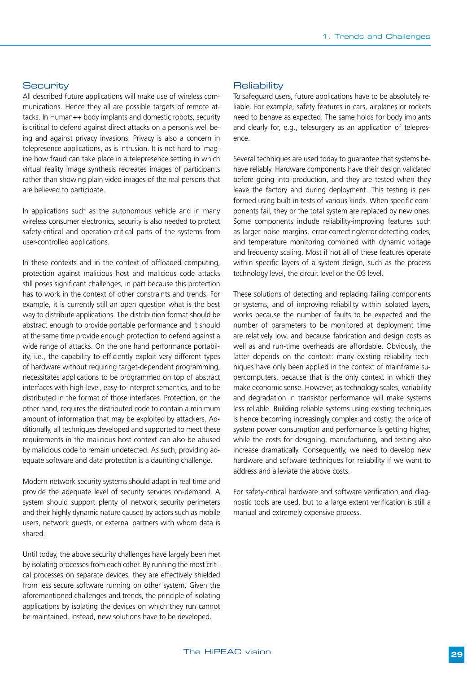#### **Security**

All described future applications will make use of wireless communications. Hence they all are possible targets of remote attacks. In Human++ body implants and domestic robots, security is critical to defend against direct attacks on a person's well being and against privacy invasions. Privacy is also a concern in telepresence applications, as is intrusion. It is not hard to imagine how fraud can take place in a telepresence setting in which virtual reality image synthesis recreates images of participants rather than showing plain video images of the real persons that are believed to participate.

In applications such as the autonomous vehicle and in many wireless consumer electronics, security is also needed to protect safety-critical and operation-critical parts of the systems from user-controlled applications.

In these contexts and in the context of offloaded computing, protection against malicious host and malicious code attacks still poses significant challenges, in part because this protection has to work in the context of other constraints and trends. For example, it is currently still an open question what is the best way to distribute applications. The distribution format should be abstract enough to provide portable performance and it should at the same time provide enough protection to defend against a wide range of attacks. On the one hand performance portability, i.e., the capability to efficiently exploit very different types of hardware without requiring target-dependent programming, necessitates applications to be programmed on top of abstract interfaces with high-level, easy-to-interpret semantics, and to be distributed in the format of those interfaces. Protection, on the other hand, requires the distributed code to contain a minimum amount of information that may be exploited by attackers. Additionally, all techniques developed and supported to meet these requirements in the malicious host context can also be abused by malicious code to remain undetected. As such, providing adequate software and data protection is a daunting challenge.

Modern network security systems should adapt in real time and provide the adequate level of security services on-demand. A system should support plenty of network security perimeters and their highly dynamic nature caused by actors such as mobile users, network guests, or external partners with whom data is shared.

Until today, the above security challenges have largely been met by isolating processes from each other. By running the most critical processes on separate devices, they are effectively shielded from less secure software running on other system. Given the aforementioned challenges and trends, the principle of isolating applications by isolating the devices on which they run cannot be maintained. Instead, new solutions have to be developed.

#### **Reliability**

To safeguard users, future applications have to be absolutely reliable. For example, safety features in cars, airplanes or rockets need to behave as expected. The same holds for body implants and clearly for, e.g., telesurgery as an application of telepresence.

Several techniques are used today to guarantee that systems behave reliably. Hardware components have their design validated before going into production, and they are tested when they leave the factory and during deployment. This testing is performed using built-in tests of various kinds. When specific components fail, they or the total system are replaced by new ones. Some components include reliability-improving features such as larger noise margins, error-correcting/error-detecting codes, and temperature monitoring combined with dynamic voltage and frequency scaling. Most if not all of these features operate within specific layers of a system design, such as the process technology level, the circuit level or the OS level.

These solutions of detecting and replacing failing components or systems, and of improving reliability within isolated layers, works because the number of faults to be expected and the number of parameters to be monitored at deployment time are relatively low, and because fabrication and design costs as well as and run-time overheads are affordable. Obviously, the latter depends on the context: many existing reliability techniques have only been applied in the context of mainframe supercomputers, because that is the only context in which they make economic sense. However, as technology scales, variability and degradation in transistor performance will make systems less reliable. Building reliable systems using existing techniques is hence becoming increasingly complex and costly; the price of system power consumption and performance is getting higher, while the costs for designing, manufacturing, and testing also increase dramatically. Consequently, we need to develop new hardware and software techniques for reliability if we want to address and alleviate the above costs.

For safety-critical hardware and software verification and diagnostic tools are used, but to a large extent verification is still a manual and extremely expensive process.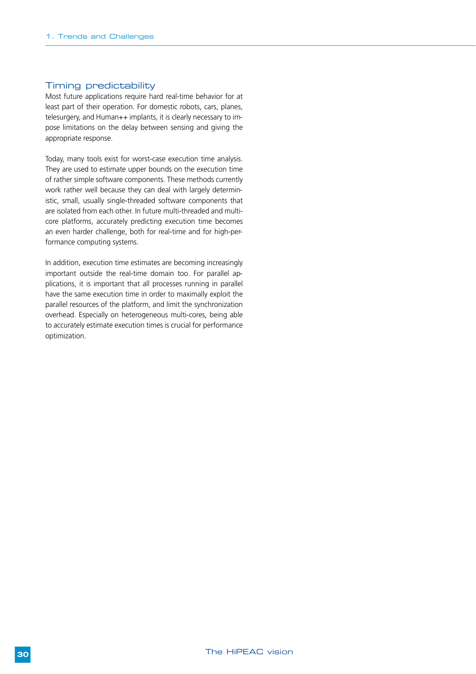#### Timing predictability

Most future applications require hard real-time behavior for at least part of their operation. For domestic robots, cars, planes, telesurgery, and Human++ implants, it is clearly necessary to impose limitations on the delay between sensing and giving the appropriate response.

Today, many tools exist for worst-case execution time analysis. They are used to estimate upper bounds on the execution time of rather simple software components. These methods currently work rather well because they can deal with largely deterministic, small, usually single-threaded software components that are isolated from each other. In future multi-threaded and multicore platforms, accurately predicting execution time becomes an even harder challenge, both for real-time and for high-performance computing systems.

In addition, execution time estimates are becoming increasingly important outside the real-time domain too. For parallel applications, it is important that all processes running in parallel have the same execution time in order to maximally exploit the parallel resources of the platform, and limit the synchronization overhead. Especially on heterogeneous multi-cores, being able to accurately estimate execution times is crucial for performance optimization.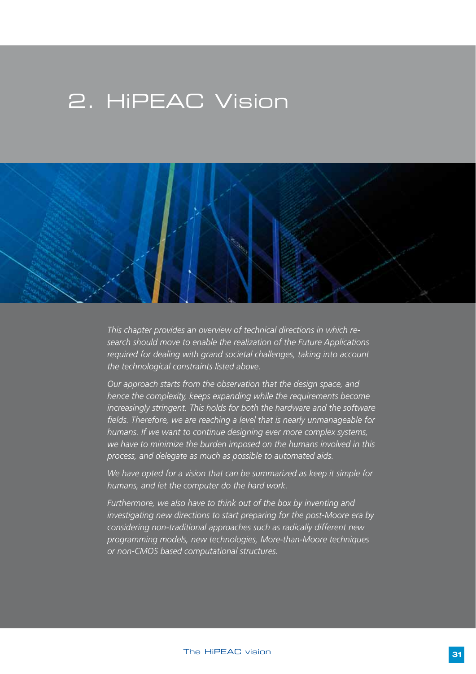## 2. HiPEAC Vision



*This chapter provides an overview of technical directions in which research should move to enable the realization of the Future Applications required for dealing with grand societal challenges, taking into account the technological constraints listed above.* 

*Our approach starts from the observation that the design space, and hence the complexity, keeps expanding while the requirements become increasingly stringent. This holds for both the hardware and the software fields. Therefore, we are reaching a level that is nearly unmanageable for humans. If we want to continue designing ever more complex systems, we have to minimize the burden imposed on the humans involved in this process, and delegate as much as possible to automated aids.*

*We have opted for a vision that can be summarized as keep it simple for humans, and let the computer do the hard work.* 

*Furthermore, we also have to think out of the box by inventing and investigating new directions to start preparing for the post-Moore era by considering non-traditional approaches such as radically different new programming models, new technologies, More-than-Moore techniques or non-CMOS based computational structures.*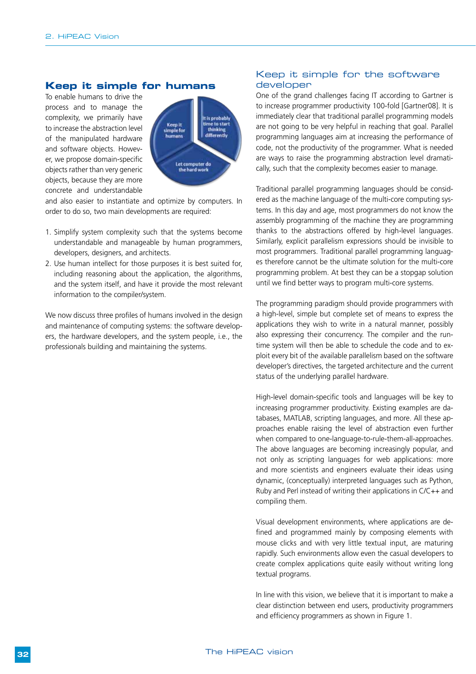#### **Keep it simple for humans**

To enable humans to drive the process and to manage the complexity, we primarily have to increase the abstraction level of the manipulated hardware and software objects. However, we propose domain-specific objects rather than very generic objects, because they are more concrete and understandable



and also easier to instantiate and optimize by computers. In order to do so, two main developments are required:

- 1. Simplify system complexity such that the systems become understandable and manageable by human programmers, developers, designers, and architects.
- 2. Use human intellect for those purposes it is best suited for, including reasoning about the application, the algorithms, and the system itself, and have it provide the most relevant information to the compiler/system.

We now discuss three profiles of humans involved in the design and maintenance of computing systems: the software developers, the hardware developers, and the system people, i.e., the professionals building and maintaining the systems.

#### Keep it simple for the software developer

One of the grand challenges facing IT according to Gartner is to increase programmer productivity 100-fold [Gartner08]. It is immediately clear that traditional parallel programming models are not going to be very helpful in reaching that goal. Parallel programming languages aim at increasing the performance of code, not the productivity of the programmer. What is needed are ways to raise the programming abstraction level dramatically, such that the complexity becomes easier to manage.

Traditional parallel programming languages should be considered as the machine language of the multi-core computing systems. In this day and age, most programmers do not know the assembly programming of the machine they are programming thanks to the abstractions offered by high-level languages. Similarly, explicit parallelism expressions should be invisible to most programmers. Traditional parallel programming languages therefore cannot be the ultimate solution for the multi-core programming problem. At best they can be a stopgap solution until we find better ways to program multi-core systems.

The programming paradigm should provide programmers with a high-level, simple but complete set of means to express the applications they wish to write in a natural manner, possibly also expressing their concurrency. The compiler and the runtime system will then be able to schedule the code and to exploit every bit of the available parallelism based on the software developer's directives, the targeted architecture and the current status of the underlying parallel hardware.

High-level domain-specific tools and languages will be key to increasing programmer productivity. Existing examples are databases, MATLAB, scripting languages, and more. All these approaches enable raising the level of abstraction even further when compared to one-language-to-rule-them-all-approaches. The above languages are becoming increasingly popular, and not only as scripting languages for web applications: more and more scientists and engineers evaluate their ideas using dynamic, (conceptually) interpreted languages such as Python, Ruby and Perl instead of writing their applications in C/C++ and compiling them.

Visual development environments, where applications are defined and programmed mainly by composing elements with mouse clicks and with very little textual input, are maturing rapidly. Such environments allow even the casual developers to create complex applications quite easily without writing long textual programs.

In line with this vision, we believe that it is important to make a clear distinction between end users, productivity programmers and efficiency programmers as shown in Figure 1.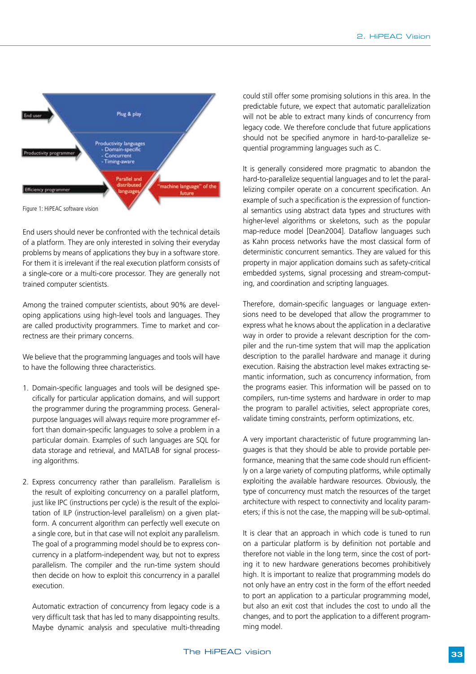

End users should never be confronted with the technical details of a platform. They are only interested in solving their everyday problems by means of applications they buy in a software store. For them it is irrelevant if the real execution platform consists of a single-core or a multi-core processor. They are generally not trained computer scientists.

Among the trained computer scientists, about 90% are developing applications using high-level tools and languages. They are called productivity programmers. Time to market and correctness are their primary concerns.

We believe that the programming languages and tools will have to have the following three characteristics.

- 1. Domain-specific languages and tools will be designed specifically for particular application domains, and will support the programmer during the programming process. Generalpurpose languages will always require more programmer effort than domain-specific languages to solve a problem in a particular domain. Examples of such languages are SQL for data storage and retrieval, and MATLAB for signal processing algorithms.
- 2. Express concurrency rather than parallelism. Parallelism is the result of exploiting concurrency on a parallel platform, just like IPC (instructions per cycle) is the result of the exploitation of ILP (instruction-level parallelism) on a given platform. A concurrent algorithm can perfectly well execute on a single core, but in that case will not exploit any parallelism. The goal of a programming model should be to express concurrency in a platform-independent way, but not to express parallelism. The compiler and the run-time system should then decide on how to exploit this concurrency in a parallel execution.

Automatic extraction of concurrency from legacy code is a very difficult task that has led to many disappointing results. Maybe dynamic analysis and speculative multi-threading could still offer some promising solutions in this area. In the predictable future, we expect that automatic parallelization will not be able to extract many kinds of concurrency from legacy code. We therefore conclude that future applications should not be specified anymore in hard-to-parallelize sequential programming languages such as C.

It is generally considered more pragmatic to abandon the hard-to-parallelize sequential languages and to let the parallelizing compiler operate on a concurrent specification. An example of such a specification is the expression of functional semantics using abstract data types and structures with higher-level algorithms or skeletons, such as the popular map-reduce model [Dean2004]. Dataflow languages such as Kahn process networks have the most classical form of deterministic concurrent semantics. They are valued for this property in major application domains such as safety-critical embedded systems, signal processing and stream-computing, and coordination and scripting languages.

Therefore, domain-specific languages or language extensions need to be developed that allow the programmer to express what he knows about the application in a declarative way in order to provide a relevant description for the compiler and the run-time system that will map the application description to the parallel hardware and manage it during execution. Raising the abstraction level makes extracting semantic information, such as concurrency information, from the programs easier. This information will be passed on to compilers, run-time systems and hardware in order to map the program to parallel activities, select appropriate cores, validate timing constraints, perform optimizations, etc.

A very important characteristic of future programming languages is that they should be able to provide portable performance, meaning that the same code should run efficiently on a large variety of computing platforms, while optimally exploiting the available hardware resources. Obviously, the type of concurrency must match the resources of the target architecture with respect to connectivity and locality parameters; if this is not the case, the mapping will be sub-optimal.

It is clear that an approach in which code is tuned to run on a particular platform is by definition not portable and therefore not viable in the long term, since the cost of porting it to new hardware generations becomes prohibitively high. It is important to realize that programming models do not only have an entry cost in the form of the effort needed to port an application to a particular programming model, but also an exit cost that includes the cost to undo all the changes, and to port the application to a different programming model.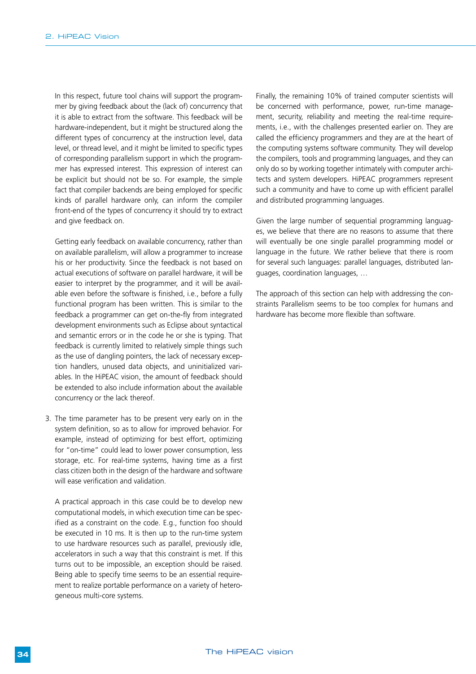In this respect, future tool chains will support the programmer by giving feedback about the (lack of) concurrency that it is able to extract from the software. This feedback will be hardware-independent, but it might be structured along the different types of concurrency at the instruction level, data level, or thread level, and it might be limited to specific types of corresponding parallelism support in which the programmer has expressed interest. This expression of interest can be explicit but should not be so. For example, the simple fact that compiler backends are being employed for specific kinds of parallel hardware only, can inform the compiler front-end of the types of concurrency it should try to extract and give feedback on.

Getting early feedback on available concurrency, rather than on available parallelism, will allow a programmer to increase his or her productivity. Since the feedback is not based on actual executions of software on parallel hardware, it will be easier to interpret by the programmer, and it will be available even before the software is finished, i.e., before a fully functional program has been written. This is similar to the feedback a programmer can get on-the-fly from integrated development environments such as Eclipse about syntactical and semantic errors or in the code he or she is typing. That feedback is currently limited to relatively simple things such as the use of dangling pointers, the lack of necessary exception handlers, unused data objects, and uninitialized variables. In the HiPEAC vision, the amount of feedback should be extended to also include information about the available concurrency or the lack thereof.

3. The time parameter has to be present very early on in the system definition, so as to allow for improved behavior. For example, instead of optimizing for best effort, optimizing for "on-time" could lead to lower power consumption, less storage, etc. For real-time systems, having time as a first class citizen both in the design of the hardware and software will ease verification and validation.

A practical approach in this case could be to develop new computational models, in which execution time can be specified as a constraint on the code. E.g., function foo should be executed in 10 ms. It is then up to the run-time system to use hardware resources such as parallel, previously idle, accelerators in such a way that this constraint is met. If this turns out to be impossible, an exception should be raised. Being able to specify time seems to be an essential requirement to realize portable performance on a variety of heterogeneous multi-core systems.

Finally, the remaining 10% of trained computer scientists will be concerned with performance, power, run-time management, security, reliability and meeting the real-time requirements, i.e., with the challenges presented earlier on. They are called the efficiency programmers and they are at the heart of the computing systems software community. They will develop the compilers, tools and programming languages, and they can only do so by working together intimately with computer architects and system developers. HiPEAC programmers represent such a community and have to come up with efficient parallel and distributed programming languages.

Given the large number of sequential programming languages, we believe that there are no reasons to assume that there will eventually be one single parallel programming model or language in the future. We rather believe that there is room for several such languages: parallel languages, distributed languages, coordination languages, …

The approach of this section can help with addressing the constraints Parallelism seems to be too complex for humans and hardware has become more flexible than software.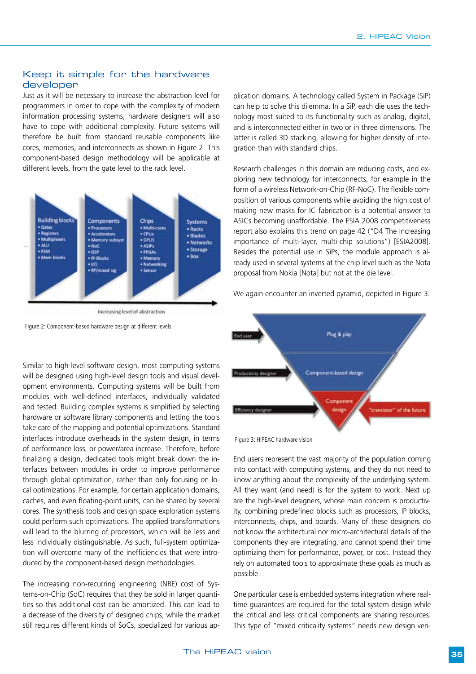#### Keep it simple for the hardware developer

Just as it will be necessary to increase the abstraction level for programmers in order to cope with the complexity of modern information processing systems, hardware designers will also have to cope with additional complexity. Future systems will therefore be built from standard reusable components like cores, memories, and interconnects as shown in Figure 2. This component-based design methodology will be applicable at different levels, from the gate level to the rack level.



Increasing level of abstraction

Figure 2: Component-based hardware design at different levels

Similar to high-level software design, most computing systems will be designed using high-level design tools and visual development environments. Computing systems will be built from modules with well-defined interfaces, individually validated and tested. Building complex systems is simplified by selecting hardware or software library components and letting the tools take care of the mapping and potential optimizations. Standard interfaces introduce overheads in the system design, in terms of performance loss, or power/area increase. Therefore, before finalizing a design, dedicated tools might break down the interfaces between modules in order to improve performance through global optimization, rather than only focusing on local optimizations. For example, for certain application domains, caches, and even floating-point units, can be shared by several cores. The synthesis tools and design space exploration systems could perform such optimizations. The applied transformations will lead to the blurring of processors, which will be less and less individually distinguishable. As such, full-system optimization will overcome many of the inefficiencies that were introduced by the component-based design methodologies.

The increasing non-recurring engineering (NRE) cost of Systems-on-Chip (SoC) requires that they be sold in larger quantities so this additional cost can be amortized. This can lead to a decrease of the diversity of designed chips, while the market still requires different kinds of SoCs, specialized for various application domains. A technology called System in Package (SiP) can help to solve this dilemma. In a SiP, each die uses the technology most suited to its functionality such as analog, digital, and is interconnected either in two or in three dimensions. The latter is called 3D stacking, allowing for higher density of integration than with standard chips.

Research challenges in this domain are reducing costs, and exploring new technology for interconnects, for example in the form of a wireless Network-on-Chip (RF-NoC). The flexible composition of various components while avoiding the high cost of making new masks for IC fabrication is a potential answer to ASICs becoming unaffordable. The ESIA 2008 competitiveness report also explains this trend on page 42 ("D4 The increasing importance of multi-layer, multi-chip solutions") [ESIA2008]. Besides the potential use in SiPs, the module approach is already used in several systems at the chip level such as the Nota proposal from Nokia [Nota] but not at the die level.

We again encounter an inverted pyramid, depicted in Figure 3.



Figure 3: HiPEAC hardware vision

End users represent the vast majority of the population coming into contact with computing systems, and they do not need to know anything about the complexity of the underlying system. All they want (and need) is for the system to work. Next up are the high-level designers, whose main concern is productivity, combining predefined blocks such as processors, IP blocks, interconnects, chips, and boards. Many of these designers do not know the architectural nor micro-architectural details of the components they are integrating, and cannot spend their time optimizing them for performance, power, or cost. Instead they rely on automated tools to approximate these goals as much as possible.

One particular case is embedded systems integration where realtime guarantees are required for the total system design while the critical and less critical components are sharing resources. This type of "mixed criticality systems" needs new design veri-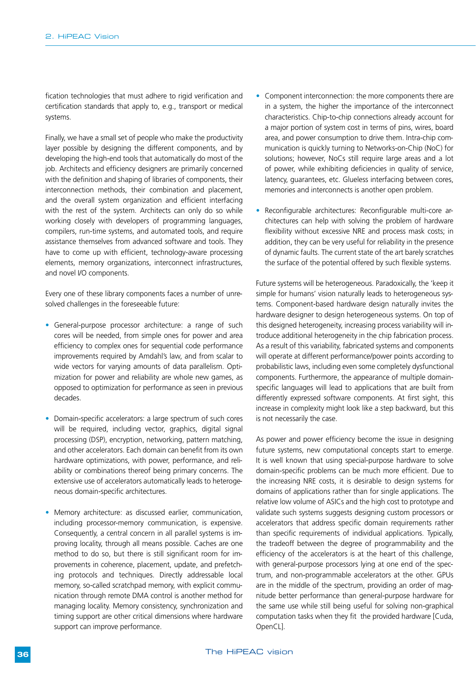fication technologies that must adhere to rigid verification and certification standards that apply to, e.g., transport or medical systems.

Finally, we have a small set of people who make the productivity layer possible by designing the different components, and by developing the high-end tools that automatically do most of the job. Architects and efficiency designers are primarily concerned with the definition and shaping of libraries of components, their interconnection methods, their combination and placement, and the overall system organization and efficient interfacing with the rest of the system. Architects can only do so while working closely with developers of programming languages, compilers, run-time systems, and automated tools, and require assistance themselves from advanced software and tools. They have to come up with efficient, technology-aware processing elements, memory organizations, interconnect infrastructures, and novel I/O components.

Every one of these library components faces a number of unresolved challenges in the foreseeable future:

- General-purpose processor architecture: a range of such cores will be needed, from simple ones for power and area efficiency to complex ones for sequential code performance improvements required by Amdahl's law, and from scalar to wide vectors for varying amounts of data parallelism. Optimization for power and reliability are whole new games, as opposed to optimization for performance as seen in previous decades.
- Domain-specific accelerators: a large spectrum of such cores will be required, including vector, graphics, digital signal processing (DSP), encryption, networking, pattern matching, and other accelerators. Each domain can benefit from its own hardware optimizations, with power, performance, and reliability or combinations thereof being primary concerns. The extensive use of accelerators automatically leads to heterogeneous domain-specific architectures.
- Memory architecture: as discussed earlier, communication, including processor-memory communication, is expensive. Consequently, a central concern in all parallel systems is improving locality, through all means possible. Caches are one method to do so, but there is still significant room for improvements in coherence, placement, update, and prefetching protocols and techniques. Directly addressable local memory, so-called scratchpad memory, with explicit communication through remote DMA control is another method for managing locality. Memory consistency, synchronization and timing support are other critical dimensions where hardware support can improve performance.
- Component interconnection: the more components there are in a system, the higher the importance of the interconnect characteristics. Chip-to-chip connections already account for a major portion of system cost in terms of pins, wires, board area, and power consumption to drive them. Intra-chip communication is quickly turning to Networks-on-Chip (NoC) for solutions; however, NoCs still require large areas and a lot of power, while exhibiting deficiencies in quality of service, latency, guarantees, etc. Glueless interfacing between cores, memories and interconnects is another open problem.
- Reconfigurable architectures: Reconfigurable multi-core architectures can help with solving the problem of hardware flexibility without excessive NRE and process mask costs; in addition, they can be very useful for reliability in the presence of dynamic faults. The current state of the art barely scratches the surface of the potential offered by such flexible systems.

Future systems will be heterogeneous. Paradoxically, the 'keep it simple for humans' vision naturally leads to heterogeneous systems. Component-based hardware design naturally invites the hardware designer to design heterogeneous systems. On top of this designed heterogeneity, increasing process variability will introduce additional heterogeneity in the chip fabrication process. As a result of this variability, fabricated systems and components will operate at different performance/power points according to probabilistic laws, including even some completely dysfunctional components. Furthermore, the appearance of multiple domainspecific languages will lead to applications that are built from differently expressed software components. At first sight, this increase in complexity might look like a step backward, but this is not necessarily the case.

As power and power efficiency become the issue in designing future systems, new computational concepts start to emerge. It is well known that using special-purpose hardware to solve domain-specific problems can be much more efficient. Due to the increasing NRE costs, it is desirable to design systems for domains of applications rather than for single applications. The relative low volume of ASICs and the high cost to prototype and validate such systems suggests designing custom processors or accelerators that address specific domain requirements rather than specific requirements of individual applications. Typically, the tradeoff between the degree of programmability and the efficiency of the accelerators is at the heart of this challenge, with general-purpose processors lying at one end of the spectrum, and non-programmable accelerators at the other. GPUs are in the middle of the spectrum, providing an order of magnitude better performance than general-purpose hardware for the same use while still being useful for solving non-graphical computation tasks when they fit the provided hardware [Cuda, OpenCL].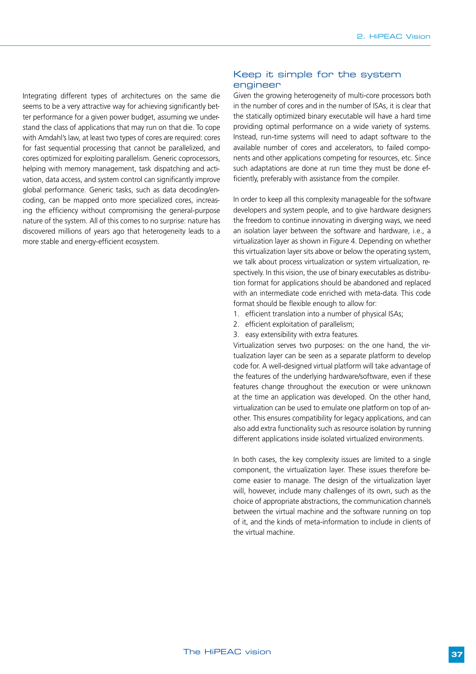Integrating different types of architectures on the same die seems to be a very attractive way for achieving significantly better performance for a given power budget, assuming we understand the class of applications that may run on that die. To cope with Amdahl's law, at least two types of cores are required: cores for fast sequential processing that cannot be parallelized, and cores optimized for exploiting parallelism. Generic coprocessors, helping with memory management, task dispatching and activation, data access, and system control can significantly improve global performance. Generic tasks, such as data decoding/encoding, can be mapped onto more specialized cores, increasing the efficiency without compromising the general-purpose nature of the system. All of this comes to no surprise: nature has discovered millions of years ago that heterogeneity leads to a more stable and energy-efficient ecosystem.

#### Keep it simple for the system engineer

Given the growing heterogeneity of multi-core processors both in the number of cores and in the number of ISAs, it is clear that the statically optimized binary executable will have a hard time providing optimal performance on a wide variety of systems. Instead, run-time systems will need to adapt software to the available number of cores and accelerators, to failed components and other applications competing for resources, etc. Since such adaptations are done at run time they must be done efficiently, preferably with assistance from the compiler.

In order to keep all this complexity manageable for the software developers and system people, and to give hardware designers the freedom to continue innovating in diverging ways, we need an isolation layer between the software and hardware, i.e., a virtualization layer as shown in Figure 4. Depending on whether this virtualization layer sits above or below the operating system, we talk about process virtualization or system virtualization, respectively. In this vision, the use of binary executables as distribution format for applications should be abandoned and replaced with an intermediate code enriched with meta-data. This code format should be flexible enough to allow for:

- 1. efficient translation into a number of physical ISAs;
- 2. efficient exploitation of parallelism;
- 3. easy extensibility with extra features.

Virtualization serves two purposes: on the one hand, the virtualization layer can be seen as a separate platform to develop code for. A well-designed virtual platform will take advantage of the features of the underlying hardware/software, even if these features change throughout the execution or were unknown at the time an application was developed. On the other hand, virtualization can be used to emulate one platform on top of another. This ensures compatibility for legacy applications, and can also add extra functionality such as resource isolation by running different applications inside isolated virtualized environments.

In both cases, the key complexity issues are limited to a single component, the virtualization layer. These issues therefore become easier to manage. The design of the virtualization layer will, however, include many challenges of its own, such as the choice of appropriate abstractions, the communication channels between the virtual machine and the software running on top of it, and the kinds of meta-information to include in clients of the virtual machine.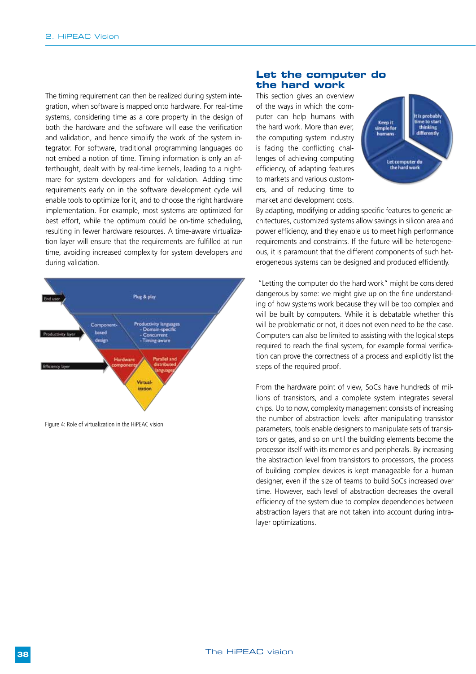The timing requirement can then be realized during system integration, when software is mapped onto hardware. For real-time systems, considering time as a core property in the design of both the hardware and the software will ease the verification and validation, and hence simplify the work of the system integrator. For software, traditional programming languages do not embed a notion of time. Timing information is only an afterthought, dealt with by real-time kernels, leading to a nightmare for system developers and for validation. Adding time requirements early on in the software development cycle will enable tools to optimize for it, and to choose the right hardware implementation. For example, most systems are optimized for best effort, while the optimum could be on-time scheduling, resulting in fewer hardware resources. A time-aware virtualization layer will ensure that the requirements are fulfilled at run time, avoiding increased complexity for system developers and during validation.



Figure 4: Role of virtualization in the HiPEAC vision

#### **Let the computer do the hard work**

This section gives an overview of the ways in which the computer can help humans with the hard work. More than ever, the computing system industry is facing the conflicting challenges of achieving computing efficiency, of adapting features to markets and various customers, and of reducing time to market and development costs.



By adapting, modifying or adding specific features to generic architectures, customized systems allow savings in silicon area and power efficiency, and they enable us to meet high performance requirements and constraints. If the future will be heterogeneous, it is paramount that the different components of such heterogeneous systems can be designed and produced efficiently.

 "Letting the computer do the hard work" might be considered dangerous by some: we might give up on the fine understanding of how systems work because they will be too complex and will be built by computers. While it is debatable whether this will be problematic or not, it does not even need to be the case. Computers can also be limited to assisting with the logical steps required to reach the final system, for example formal verification can prove the correctness of a process and explicitly list the steps of the required proof.

From the hardware point of view, SoCs have hundreds of millions of transistors, and a complete system integrates several chips. Up to now, complexity management consists of increasing the number of abstraction levels: after manipulating transistor parameters, tools enable designers to manipulate sets of transistors or gates, and so on until the building elements become the processor itself with its memories and peripherals. By increasing the abstraction level from transistors to processors, the process of building complex devices is kept manageable for a human designer, even if the size of teams to build SoCs increased over time. However, each level of abstraction decreases the overall efficiency of the system due to complex dependencies between abstraction layers that are not taken into account during intralayer optimizations.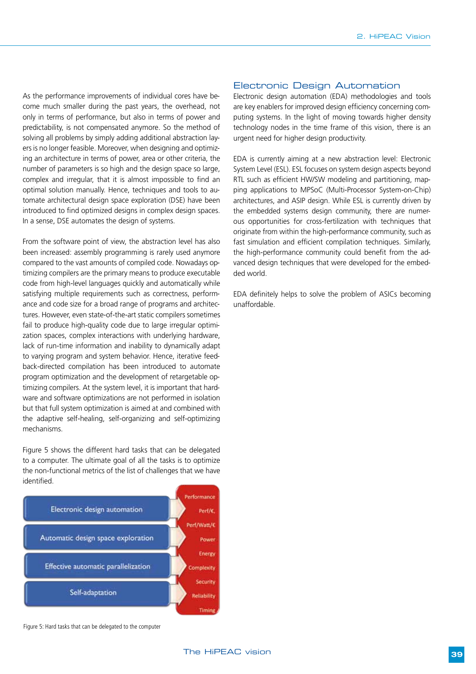As the performance improvements of individual cores have become much smaller during the past years, the overhead, not only in terms of performance, but also in terms of power and predictability, is not compensated anymore. So the method of solving all problems by simply adding additional abstraction layers is no longer feasible. Moreover, when designing and optimizing an architecture in terms of power, area or other criteria, the number of parameters is so high and the design space so large, complex and irregular, that it is almost impossible to find an optimal solution manually. Hence, techniques and tools to automate architectural design space exploration (DSE) have been introduced to find optimized designs in complex design spaces. In a sense, DSE automates the design of systems.

From the software point of view, the abstraction level has also been increased: assembly programming is rarely used anymore compared to the vast amounts of compiled code. Nowadays optimizing compilers are the primary means to produce executable code from high-level languages quickly and automatically while satisfying multiple requirements such as correctness, performance and code size for a broad range of programs and architectures. However, even state-of-the-art static compilers sometimes fail to produce high-quality code due to large irregular optimization spaces, complex interactions with underlying hardware, lack of run-time information and inability to dynamically adapt to varying program and system behavior. Hence, iterative feedback-directed compilation has been introduced to automate program optimization and the development of retargetable optimizing compilers. At the system level, it is important that hardware and software optimizations are not performed in isolation but that full system optimization is aimed at and combined with the adaptive self-healing, self-organizing and self-optimizing mechanisms.

Figure 5 shows the different hard tasks that can be delegated to a computer. The ultimate goal of all the tasks is to optimize the non-functional metrics of the list of challenges that we have identified.



Figure 5: Hard tasks that can be delegated to the computer

#### Electronic Design Automation

Electronic design automation (EDA) methodologies and tools are key enablers for improved design efficiency concerning computing systems. In the light of moving towards higher density technology nodes in the time frame of this vision, there is an urgent need for higher design productivity.

EDA is currently aiming at a new abstraction level: Electronic System Level (ESL). ESL focuses on system design aspects beyond RTL such as efficient HW/SW modeling and partitioning, mapping applications to MPSoC (Multi-Processor System-on-Chip) architectures, and ASIP design. While ESL is currently driven by the embedded systems design community, there are numerous opportunities for cross-fertilization with techniques that originate from within the high-performance community, such as fast simulation and efficient compilation techniques. Similarly, the high-performance community could benefit from the advanced design techniques that were developed for the embedded world.

EDA definitely helps to solve the problem of ASICs becoming unaffordable.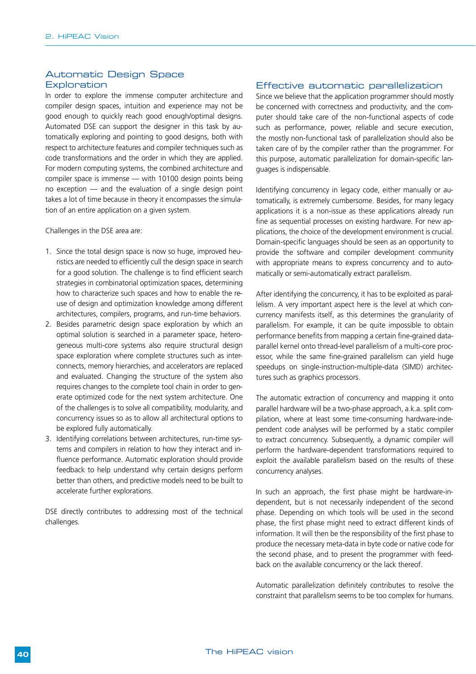#### Automatic Design Space **Exploration**

In order to explore the immense computer architecture and compiler design spaces, intuition and experience may not be good enough to quickly reach good enough/optimal designs. Automated DSE can support the designer in this task by automatically exploring and pointing to good designs, both with respect to architecture features and compiler techniques such as code transformations and the order in which they are applied. For modern computing systems, the combined architecture and compiler space is immense — with 10100 design points being no exception — and the evaluation of a single design point takes a lot of time because in theory it encompasses the simulation of an entire application on a given system.

Challenges in the DSE area are:

- 1. Since the total design space is now so huge, improved heuristics are needed to efficiently cull the design space in search for a good solution. The challenge is to find efficient search strategies in combinatorial optimization spaces, determining how to characterize such spaces and how to enable the reuse of design and optimization knowledge among different architectures, compilers, programs, and run-time behaviors.
- 2. Besides parametric design space exploration by which an optimal solution is searched in a parameter space, heterogeneous multi-core systems also require structural design space exploration where complete structures such as interconnects, memory hierarchies, and accelerators are replaced and evaluated. Changing the structure of the system also requires changes to the complete tool chain in order to generate optimized code for the next system architecture. One of the challenges is to solve all compatibility, modularity, and concurrency issues so as to allow all architectural options to be explored fully automatically.
- 3. Identifying correlations between architectures, run-time systems and compilers in relation to how they interact and influence performance. Automatic exploration should provide feedback to help understand why certain designs perform better than others, and predictive models need to be built to accelerate further explorations.

DSE directly contributes to addressing most of the technical challenges.

#### Effective automatic parallelization

Since we believe that the application programmer should mostly be concerned with correctness and productivity, and the computer should take care of the non-functional aspects of code such as performance, power, reliable and secure execution, the mostly non-functional task of parallelization should also be taken care of by the compiler rather than the programmer. For this purpose, automatic parallelization for domain-specific languages is indispensable.

Identifying concurrency in legacy code, either manually or automatically, is extremely cumbersome. Besides, for many legacy applications it is a non-issue as these applications already run fine as sequential processes on existing hardware. For new applications, the choice of the development environment is crucial. Domain-specific languages should be seen as an opportunity to provide the software and compiler development community with appropriate means to express concurrency and to automatically or semi-automatically extract parallelism.

After identifying the concurrency, it has to be exploited as parallelism. A very important aspect here is the level at which concurrency manifests itself, as this determines the granularity of parallelism. For example, it can be quite impossible to obtain performance benefits from mapping a certain fine-grained dataparallel kernel onto thread-level parallelism of a multi-core processor, while the same fine-grained parallelism can yield huge speedups on single-instruction-multiple-data (SIMD) architectures such as graphics processors.

The automatic extraction of concurrency and mapping it onto parallel hardware will be a two-phase approach, a.k.a. split compilation, where at least some time-consuming hardware-independent code analyses will be performed by a static compiler to extract concurrency. Subsequently, a dynamic compiler will perform the hardware-dependent transformations required to exploit the available parallelism based on the results of these concurrency analyses.

In such an approach, the first phase might be hardware-independent, but is not necessarily independent of the second phase. Depending on which tools will be used in the second phase, the first phase might need to extract different kinds of information. It will then be the responsibility of the first phase to produce the necessary meta-data in byte code or native code for the second phase, and to present the programmer with feedback on the available concurrency or the lack thereof.

Automatic parallelization definitely contributes to resolve the constraint that parallelism seems to be too complex for humans.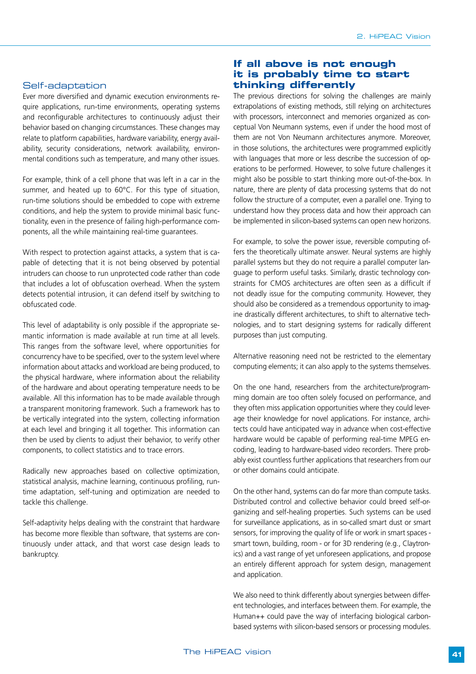#### Self-adaptation

Ever more diversified and dynamic execution environments require applications, run-time environments, operating systems and reconfigurable architectures to continuously adjust their behavior based on changing circumstances. These changes may relate to platform capabilities, hardware variability, energy availability, security considerations, network availability, environmental conditions such as temperature, and many other issues.

For example, think of a cell phone that was left in a car in the summer, and heated up to 60°C. For this type of situation, run-time solutions should be embedded to cope with extreme conditions, and help the system to provide minimal basic functionality, even in the presence of failing high-performance components, all the while maintaining real-time guarantees.

With respect to protection against attacks, a system that is capable of detecting that it is not being observed by potential intruders can choose to run unprotected code rather than code that includes a lot of obfuscation overhead. When the system detects potential intrusion, it can defend itself by switching to obfuscated code.

This level of adaptability is only possible if the appropriate semantic information is made available at run time at all levels. This ranges from the software level, where opportunities for concurrency have to be specified, over to the system level where information about attacks and workload are being produced, to the physical hardware, where information about the reliability of the hardware and about operating temperature needs to be available. All this information has to be made available through a transparent monitoring framework. Such a framework has to be vertically integrated into the system, collecting information at each level and bringing it all together. This information can then be used by clients to adjust their behavior, to verify other components, to collect statistics and to trace errors.

Radically new approaches based on collective optimization, statistical analysis, machine learning, continuous profiling, runtime adaptation, self-tuning and optimization are needed to tackle this challenge.

Self-adaptivity helps dealing with the constraint that hardware has become more flexible than software, that systems are continuously under attack, and that worst case design leads to bankruptcy.

#### **If all above is not enough it is probably time to start thinking differently**

The previous directions for solving the challenges are mainly extrapolations of existing methods, still relying on architectures with processors, interconnect and memories organized as conceptual Von Neumann systems, even if under the hood most of them are not Von Neumann architectures anymore. Moreover, in those solutions, the architectures were programmed explicitly with languages that more or less describe the succession of operations to be performed. However, to solve future challenges it might also be possible to start thinking more out-of-the-box. In nature, there are plenty of data processing systems that do not follow the structure of a computer, even a parallel one. Trying to understand how they process data and how their approach can be implemented in silicon-based systems can open new horizons.

For example, to solve the power issue, reversible computing offers the theoretically ultimate answer. Neural systems are highly parallel systems but they do not require a parallel computer language to perform useful tasks. Similarly, drastic technology constraints for CMOS architectures are often seen as a difficult if not deadly issue for the computing community. However, they should also be considered as a tremendous opportunity to imagine drastically different architectures, to shift to alternative technologies, and to start designing systems for radically different purposes than just computing.

Alternative reasoning need not be restricted to the elementary computing elements; it can also apply to the systems themselves.

On the one hand, researchers from the architecture/programming domain are too often solely focused on performance, and they often miss application opportunities where they could leverage their knowledge for novel applications. For instance, architects could have anticipated way in advance when cost-effective hardware would be capable of performing real-time MPEG encoding, leading to hardware-based video recorders. There probably exist countless further applications that researchers from our or other domains could anticipate.

On the other hand, systems can do far more than compute tasks. Distributed control and collective behavior could breed self-organizing and self-healing properties. Such systems can be used for surveillance applications, as in so-called smart dust or smart sensors, for improving the quality of life or work in smart spaces smart town, building, room - or for 3D rendering (e.g., Claytronics) and a vast range of yet unforeseen applications, and propose an entirely different approach for system design, management and application.

We also need to think differently about synergies between different technologies, and interfaces between them. For example, the Human++ could pave the way of interfacing biological carbonbased systems with silicon-based sensors or processing modules.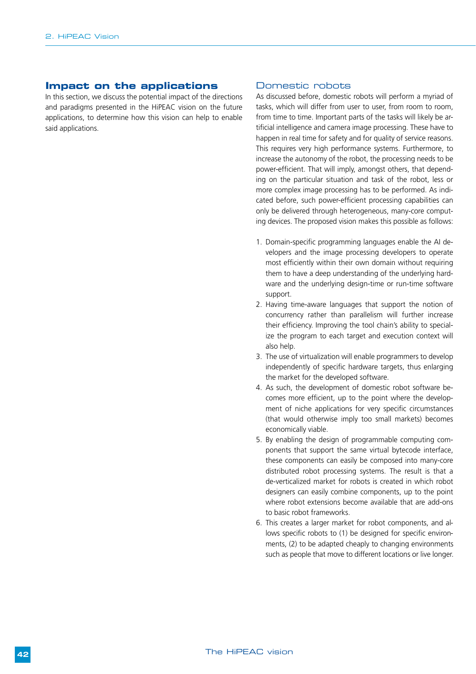#### **Impact on the applications**

In this section, we discuss the potential impact of the directions and paradigms presented in the HiPEAC vision on the future applications, to determine how this vision can help to enable said applications.

#### Domestic robots

As discussed before, domestic robots will perform a myriad of tasks, which will differ from user to user, from room to room, from time to time. Important parts of the tasks will likely be artificial intelligence and camera image processing. These have to happen in real time for safety and for quality of service reasons. This requires very high performance systems. Furthermore, to increase the autonomy of the robot, the processing needs to be power-efficient. That will imply, amongst others, that depending on the particular situation and task of the robot, less or more complex image processing has to be performed. As indicated before, such power-efficient processing capabilities can only be delivered through heterogeneous, many-core computing devices. The proposed vision makes this possible as follows:

- 1. Domain-specific programming languages enable the AI developers and the image processing developers to operate most efficiently within their own domain without requiring them to have a deep understanding of the underlying hardware and the underlying design-time or run-time software support.
- 2. Having time-aware languages that support the notion of concurrency rather than parallelism will further increase their efficiency. Improving the tool chain's ability to specialize the program to each target and execution context will also help.
- 3. The use of virtualization will enable programmers to develop independently of specific hardware targets, thus enlarging the market for the developed software.
- 4. As such, the development of domestic robot software becomes more efficient, up to the point where the development of niche applications for very specific circumstances (that would otherwise imply too small markets) becomes economically viable.
- 5. By enabling the design of programmable computing components that support the same virtual bytecode interface, these components can easily be composed into many-core distributed robot processing systems. The result is that a de-verticalized market for robots is created in which robot designers can easily combine components, up to the point where robot extensions become available that are add-ons to basic robot frameworks.
- 6. This creates a larger market for robot components, and allows specific robots to (1) be designed for specific environments, (2) to be adapted cheaply to changing environments such as people that move to different locations or live longer.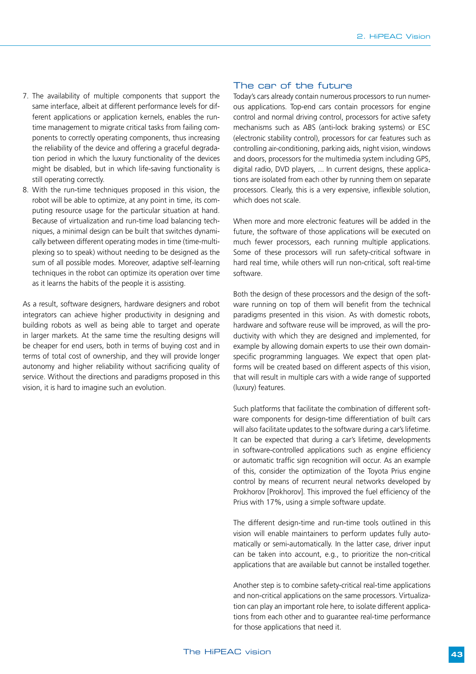- 7. The availability of multiple components that support the same interface, albeit at different performance levels for different applications or application kernels, enables the runtime management to migrate critical tasks from failing components to correctly operating components, thus increasing the reliability of the device and offering a graceful degradation period in which the luxury functionality of the devices might be disabled, but in which life-saving functionality is still operating correctly.
- 8. With the run-time techniques proposed in this vision, the robot will be able to optimize, at any point in time, its computing resource usage for the particular situation at hand. Because of virtualization and run-time load balancing techniques, a minimal design can be built that switches dynamically between different operating modes in time (time-multiplexing so to speak) without needing to be designed as the sum of all possible modes. Moreover, adaptive self-learning techniques in the robot can optimize its operation over time as it learns the habits of the people it is assisting.

As a result, software designers, hardware designers and robot integrators can achieve higher productivity in designing and building robots as well as being able to target and operate in larger markets. At the same time the resulting designs will be cheaper for end users, both in terms of buying cost and in terms of total cost of ownership, and they will provide longer autonomy and higher reliability without sacrificing quality of service. Without the directions and paradigms proposed in this vision, it is hard to imagine such an evolution.

#### The car of the future

Today's cars already contain numerous processors to run numerous applications. Top-end cars contain processors for engine control and normal driving control, processors for active safety mechanisms such as ABS (anti-lock braking systems) or ESC (electronic stability control), processors for car features such as controlling air-conditioning, parking aids, night vision, windows and doors, processors for the multimedia system including GPS, digital radio, DVD players, ... In current designs, these applications are isolated from each other by running them on separate processors. Clearly, this is a very expensive, inflexible solution, which does not scale.

When more and more electronic features will be added in the future, the software of those applications will be executed on much fewer processors, each running multiple applications. Some of these processors will run safety-critical software in hard real time, while others will run non-critical, soft real-time software.

Both the design of these processors and the design of the software running on top of them will benefit from the technical paradigms presented in this vision. As with domestic robots, hardware and software reuse will be improved, as will the productivity with which they are designed and implemented, for example by allowing domain experts to use their own domainspecific programming languages. We expect that open platforms will be created based on different aspects of this vision, that will result in multiple cars with a wide range of supported (luxury) features.

Such platforms that facilitate the combination of different software components for design-time differentiation of built cars will also facilitate updates to the software during a car's lifetime. It can be expected that during a car's lifetime, developments in software-controlled applications such as engine efficiency or automatic traffic sign recognition will occur. As an example of this, consider the optimization of the Toyota Prius engine control by means of recurrent neural networks developed by Prokhorov [Prokhorov]. This improved the fuel efficiency of the Prius with 17%, using a simple software update.

The different design-time and run-time tools outlined in this vision will enable maintainers to perform updates fully automatically or semi-automatically. In the latter case, driver input can be taken into account, e.g., to prioritize the non-critical applications that are available but cannot be installed together.

Another step is to combine safety-critical real-time applications and non-critical applications on the same processors. Virtualization can play an important role here, to isolate different applications from each other and to guarantee real-time performance for those applications that need it.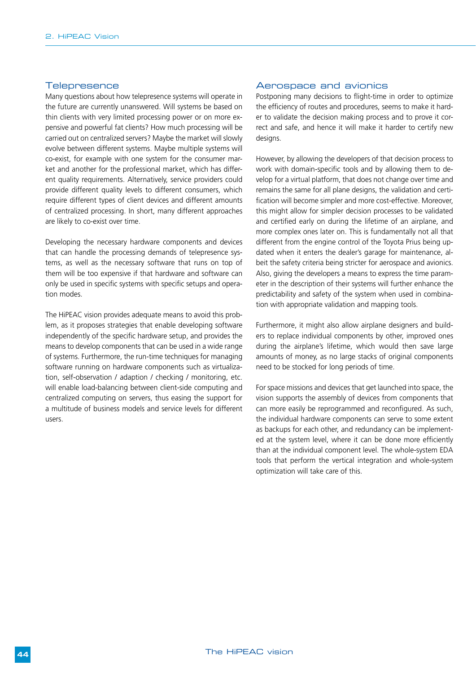#### **Telepresence**

Many questions about how telepresence systems will operate in the future are currently unanswered. Will systems be based on thin clients with very limited processing power or on more expensive and powerful fat clients? How much processing will be carried out on centralized servers? Maybe the market will slowly evolve between different systems. Maybe multiple systems will co-exist, for example with one system for the consumer market and another for the professional market, which has different quality requirements. Alternatively, service providers could provide different quality levels to different consumers, which require different types of client devices and different amounts of centralized processing. In short, many different approaches are likely to co-exist over time.

Developing the necessary hardware components and devices that can handle the processing demands of telepresence systems, as well as the necessary software that runs on top of them will be too expensive if that hardware and software can only be used in specific systems with specific setups and operation modes.

The HiPEAC vision provides adequate means to avoid this problem, as it proposes strategies that enable developing software independently of the specific hardware setup, and provides the means to develop components that can be used in a wide range of systems. Furthermore, the run-time techniques for managing software running on hardware components such as virtualization, self-observation / adaption / checking / monitoring, etc. will enable load-balancing between client-side computing and centralized computing on servers, thus easing the support for a multitude of business models and service levels for different users.

#### Aerospace and avionics

Postponing many decisions to flight-time in order to optimize the efficiency of routes and procedures, seems to make it harder to validate the decision making process and to prove it correct and safe, and hence it will make it harder to certify new designs.

However, by allowing the developers of that decision process to work with domain-specific tools and by allowing them to develop for a virtual platform, that does not change over time and remains the same for all plane designs, the validation and certification will become simpler and more cost-effective. Moreover, this might allow for simpler decision processes to be validated and certified early on during the lifetime of an airplane, and more complex ones later on. This is fundamentally not all that different from the engine control of the Toyota Prius being updated when it enters the dealer's garage for maintenance, albeit the safety criteria being stricter for aerospace and avionics. Also, giving the developers a means to express the time parameter in the description of their systems will further enhance the predictability and safety of the system when used in combination with appropriate validation and mapping tools.

Furthermore, it might also allow airplane designers and builders to replace individual components by other, improved ones during the airplane's lifetime, which would then save large amounts of money, as no large stacks of original components need to be stocked for long periods of time.

For space missions and devices that get launched into space, the vision supports the assembly of devices from components that can more easily be reprogrammed and reconfigured. As such, the individual hardware components can serve to some extent as backups for each other, and redundancy can be implemented at the system level, where it can be done more efficiently than at the individual component level. The whole-system EDA tools that perform the vertical integration and whole-system optimization will take care of this.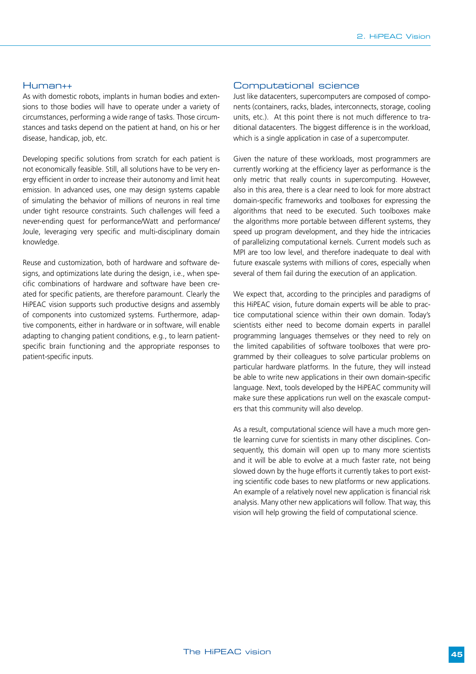#### Human++

As with domestic robots, implants in human bodies and extensions to those bodies will have to operate under a variety of circumstances, performing a wide range of tasks. Those circumstances and tasks depend on the patient at hand, on his or her disease, handicap, job, etc.

Developing specific solutions from scratch for each patient is not economically feasible. Still, all solutions have to be very energy efficient in order to increase their autonomy and limit heat emission. In advanced uses, one may design systems capable of simulating the behavior of millions of neurons in real time under tight resource constraints. Such challenges will feed a never-ending quest for performance/Watt and performance/ Joule, leveraging very specific and multi-disciplinary domain knowledge.

Reuse and customization, both of hardware and software designs, and optimizations late during the design, i.e., when specific combinations of hardware and software have been created for specific patients, are therefore paramount. Clearly the HiPEAC vision supports such productive designs and assembly of components into customized systems. Furthermore, adaptive components, either in hardware or in software, will enable adapting to changing patient conditions, e.g., to learn patientspecific brain functioning and the appropriate responses to patient-specific inputs.

#### Computational science

Just like datacenters, supercomputers are composed of components (containers, racks, blades, interconnects, storage, cooling units, etc.). At this point there is not much difference to traditional datacenters. The biggest difference is in the workload, which is a single application in case of a supercomputer.

Given the nature of these workloads, most programmers are currently working at the efficiency layer as performance is the only metric that really counts in supercomputing. However, also in this area, there is a clear need to look for more abstract domain-specific frameworks and toolboxes for expressing the algorithms that need to be executed. Such toolboxes make the algorithms more portable between different systems, they speed up program development, and they hide the intricacies of parallelizing computational kernels. Current models such as MPI are too low level, and therefore inadequate to deal with future exascale systems with millions of cores, especially when several of them fail during the execution of an application.

We expect that, according to the principles and paradigms of this HiPEAC vision, future domain experts will be able to practice computational science within their own domain. Today's scientists either need to become domain experts in parallel programming languages themselves or they need to rely on the limited capabilities of software toolboxes that were programmed by their colleagues to solve particular problems on particular hardware platforms. In the future, they will instead be able to write new applications in their own domain-specific language. Next, tools developed by the HiPEAC community will make sure these applications run well on the exascale computers that this community will also develop.

As a result, computational science will have a much more gentle learning curve for scientists in many other disciplines. Consequently, this domain will open up to many more scientists and it will be able to evolve at a much faster rate, not being slowed down by the huge efforts it currently takes to port existing scientific code bases to new platforms or new applications. An example of a relatively novel new application is financial risk analysis. Many other new applications will follow. That way, this vision will help growing the field of computational science.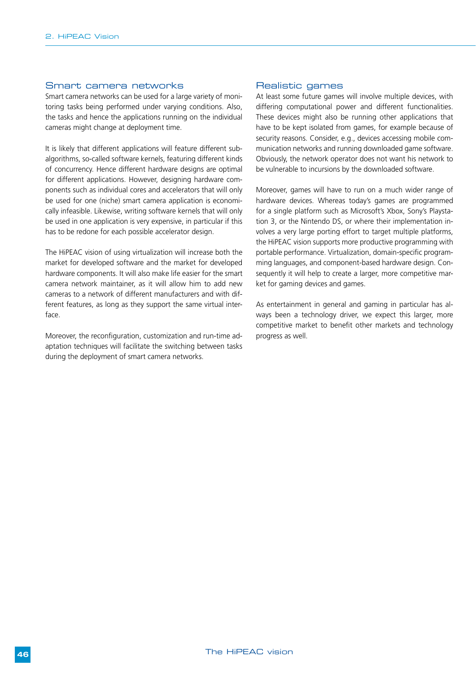#### Smart camera networks

Smart camera networks can be used for a large variety of monitoring tasks being performed under varying conditions. Also, the tasks and hence the applications running on the individual cameras might change at deployment time.

It is likely that different applications will feature different subalgorithms, so-called software kernels, featuring different kinds of concurrency. Hence different hardware designs are optimal for different applications. However, designing hardware components such as individual cores and accelerators that will only be used for one (niche) smart camera application is economically infeasible. Likewise, writing software kernels that will only be used in one application is very expensive, in particular if this has to be redone for each possible accelerator design.

The HiPEAC vision of using virtualization will increase both the market for developed software and the market for developed hardware components. It will also make life easier for the smart camera network maintainer, as it will allow him to add new cameras to a network of different manufacturers and with different features, as long as they support the same virtual interface.

Moreover, the reconfiguration, customization and run-time adaptation techniques will facilitate the switching between tasks during the deployment of smart camera networks.

#### Realistic games

At least some future games will involve multiple devices, with differing computational power and different functionalities. These devices might also be running other applications that have to be kept isolated from games, for example because of security reasons. Consider, e.g., devices accessing mobile communication networks and running downloaded game software. Obviously, the network operator does not want his network to be vulnerable to incursions by the downloaded software.

Moreover, games will have to run on a much wider range of hardware devices. Whereas today's games are programmed for a single platform such as Microsoft's Xbox, Sony's Playstation 3, or the Nintendo DS, or where their implementation involves a very large porting effort to target multiple platforms, the HiPEAC vision supports more productive programming with portable performance. Virtualization, domain-specific programming languages, and component-based hardware design. Consequently it will help to create a larger, more competitive market for gaming devices and games.

As entertainment in general and gaming in particular has always been a technology driver, we expect this larger, more competitive market to benefit other markets and technology progress as well.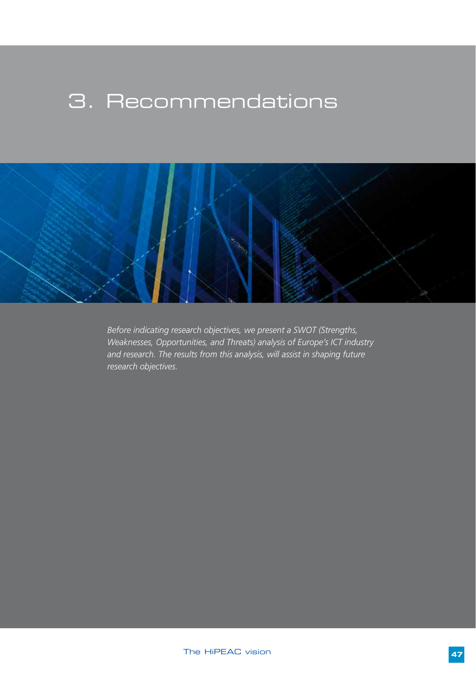## 3. Recommendations



*Before indicating research objectives, we present a SWOT (Strengths, Weaknesses, Opportunities, and Threats) analysis of Europe's ICT industry and research. The results from this analysis, will assist in shaping future research objectives.*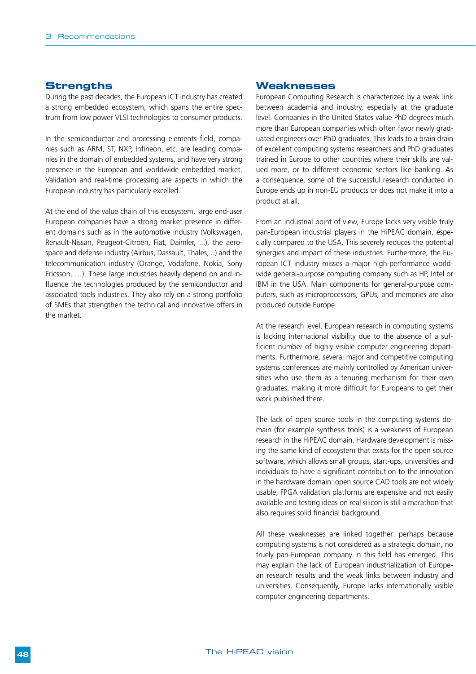#### **Strengths**

During the past decades, the European ICT industry has created a strong embedded ecosystem, which spans the entire spectrum from low power VLSI technologies to consumer products.

In the semiconductor and processing elements field, companies such as ARM, ST, NXP, Infineon, etc. are leading companies in the domain of embedded systems, and have very strong presence in the European and worldwide embedded market. Validation and real-time processing are aspects in which the European industry has particularly excelled.

At the end of the value chain of this ecosystem, large end-user European companies have a strong market presence in different domains such as in the automotive industry (Volkswagen, Renault-Nissan, Peugeot-Citroën, Fiat, Daimler, ...), the aerospace and defense industry (Airbus, Dassault, Thales, ..) and the telecommunication industry (Orange, Vodafone, Nokia, Sony Ericsson, …). These large industries heavily depend on and influence the technologies produced by the semiconductor and associated tools industries. They also rely on a strong portfolio of SMEs that strengthen the technical and innovative offers in the market.

#### **Weaknesses**

European Computing Research is characterized by a weak link between academia and industry, especially at the graduate level. Companies in the United States value PhD degrees much more than European companies which often favor newly graduated engineers over PhD graduates. This leads to a brain drain of excellent computing systems researchers and PhD graduates trained in Europe to other countries where their skills are valued more, or to different economic sectors like banking. As a consequence, some of the successful research conducted in Europe ends up in non-EU products or does not make it into a product at all.

From an industrial point of view, Europe lacks very visible truly pan-European industrial players in the HiPEAC domain, especially compared to the USA. This severely reduces the potential synergies and impact of these industries. Furthermore, the European ICT industry misses a major high-performance worldwide general-purpose computing company such as HP, Intel or IBM in the USA. Main components for general-purpose computers, such as microprocessors, GPUs, and memories are also produced outside Europe.

At the research level, European research in computing systems is lacking international visibility due to the absence of a sufficient number of highly visible computer engineering departments. Furthermore, several major and competitive computing systems conferences are mainly controlled by American universities who use them as a tenuring mechanism for their own graduates, making it more difficult for Europeans to get their work published there.

The lack of open source tools in the computing systems domain (for example synthesis tools) is a weakness of European research in the HiPEAC domain. Hardware development is missing the same kind of ecosystem that exists for the open source software, which allows small groups, start-ups, universities and individuals to have a significant contribution to the innovation in the hardware domain: open source CAD tools are not widely usable, FPGA validation platforms are expensive and not easily available and testing ideas on real silicon is still a marathon that also requires solid financial background.

All these weaknesses are linked together: perhaps because computing systems is not considered as a strategic domain, no truely pan-European company in this field has emerged. This may explain the lack of European industrialization of European research results and the weak links between industry and universities. Consequently, Europe lacks internationally visible computer engineering departments.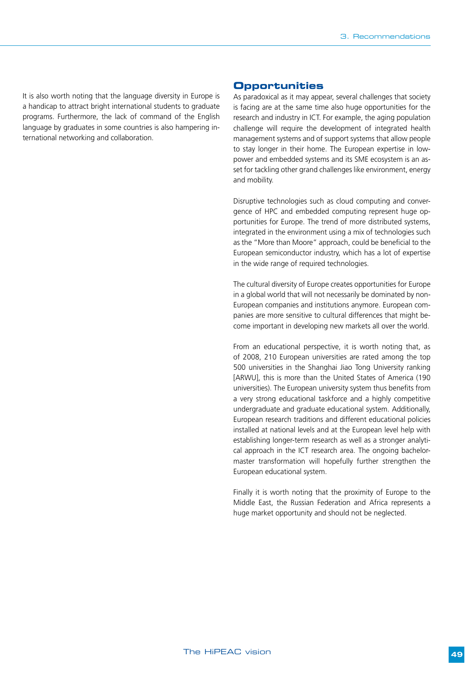It is also worth noting that the language diversity in Europe is a handicap to attract bright international students to graduate programs. Furthermore, the lack of command of the English language by graduates in some countries is also hampering international networking and collaboration.

#### **Opportunities**

As paradoxical as it may appear, several challenges that society is facing are at the same time also huge opportunities for the research and industry in ICT. For example, the aging population challenge will require the development of integrated health management systems and of support systems that allow people to stay longer in their home. The European expertise in lowpower and embedded systems and its SME ecosystem is an asset for tackling other grand challenges like environment, energy and mobility.

Disruptive technologies such as cloud computing and convergence of HPC and embedded computing represent huge opportunities for Europe. The trend of more distributed systems, integrated in the environment using a mix of technologies such as the "More than Moore" approach, could be beneficial to the European semiconductor industry, which has a lot of expertise in the wide range of required technologies.

The cultural diversity of Europe creates opportunities for Europe in a global world that will not necessarily be dominated by non-European companies and institutions anymore. European companies are more sensitive to cultural differences that might become important in developing new markets all over the world.

From an educational perspective, it is worth noting that, as of 2008, 210 European universities are rated among the top 500 universities in the Shanghai Jiao Tong University ranking [ARWU], this is more than the United States of America (190 universities). The European university system thus benefits from a very strong educational taskforce and a highly competitive undergraduate and graduate educational system. Additionally, European research traditions and different educational policies installed at national levels and at the European level help with establishing longer-term research as well as a stronger analytical approach in the ICT research area. The ongoing bachelormaster transformation will hopefully further strengthen the European educational system.

Finally it is worth noting that the proximity of Europe to the Middle East, the Russian Federation and Africa represents a huge market opportunity and should not be neglected.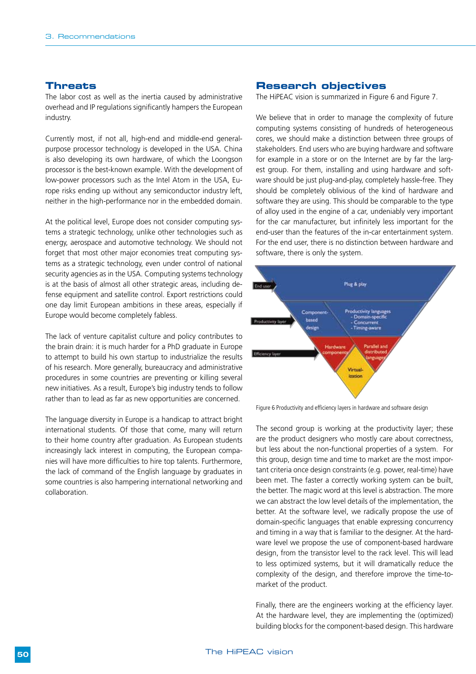#### **Threats**

The labor cost as well as the inertia caused by administrative overhead and IP regulations significantly hampers the European industry.

Currently most, if not all, high-end and middle-end generalpurpose processor technology is developed in the USA. China is also developing its own hardware, of which the Loongson processor is the best-known example. With the development of low-power processors such as the Intel Atom in the USA, Europe risks ending up without any semiconductor industry left, neither in the high-performance nor in the embedded domain.

At the political level, Europe does not consider computing systems a strategic technology, unlike other technologies such as energy, aerospace and automotive technology. We should not forget that most other major economies treat computing systems as a strategic technology, even under control of national security agencies as in the USA. Computing systems technology is at the basis of almost all other strategic areas, including defense equipment and satellite control. Export restrictions could one day limit European ambitions in these areas, especially if Europe would become completely fabless.

The lack of venture capitalist culture and policy contributes to the brain drain: it is much harder for a PhD graduate in Europe to attempt to build his own startup to industrialize the results of his research. More generally, bureaucracy and administrative procedures in some countries are preventing or killing several new initiatives. As a result, Europe's big industry tends to follow rather than to lead as far as new opportunities are concerned.

The language diversity in Europe is a handicap to attract bright international students. Of those that come, many will return to their home country after graduation. As European students increasingly lack interest in computing, the European companies will have more difficulties to hire top talents. Furthermore, the lack of command of the English language by graduates in some countries is also hampering international networking and collaboration.

#### **Research objectives**

The HiPEAC vision is summarized in Figure 6 and Figure 7.

We believe that in order to manage the complexity of future computing systems consisting of hundreds of heterogeneous cores, we should make a distinction between three groups of stakeholders. End users who are buying hardware and software for example in a store or on the Internet are by far the largest group. For them, installing and using hardware and software should be just plug-and-play, completely hassle-free. They should be completely oblivious of the kind of hardware and software they are using. This should be comparable to the type of alloy used in the engine of a car, undeniably very important for the car manufacturer, but infinitely less important for the end-user than the features of the in-car entertainment system. For the end user, there is no distinction between hardware and software, there is only the system.



Figure 6 Productivity and efficiency layers in hardware and software design

The second group is working at the productivity layer; these are the product designers who mostly care about correctness, but less about the non-functional properties of a system. For this group, design time and time to market are the most important criteria once design constraints (e.g. power, real-time) have been met. The faster a correctly working system can be built, the better. The magic word at this level is abstraction. The more we can abstract the low level details of the implementation, the better. At the software level, we radically propose the use of domain-specific languages that enable expressing concurrency and timing in a way that is familiar to the designer. At the hardware level we propose the use of component-based hardware design, from the transistor level to the rack level. This will lead to less optimized systems, but it will dramatically reduce the complexity of the design, and therefore improve the time-tomarket of the product.

Finally, there are the engineers working at the efficiency layer. At the hardware level, they are implementing the (optimized) building blocks for the component-based design. This hardware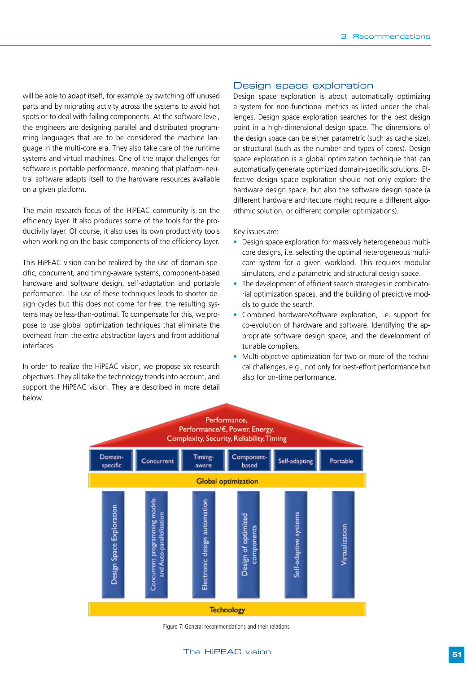will be able to adapt itself, for example by switching off unused parts and by migrating activity across the systems to avoid hot spots or to deal with failing components. At the software level, the engineers are designing parallel and distributed programming languages that are to be considered the machine language in the multi-core era. They also take care of the runtime systems and virtual machines. One of the major challenges for software is portable performance, meaning that platform-neutral software adapts itself to the hardware resources available on a given platform.

The main research focus of the HiPEAC community is on the efficiency layer. It also produces some of the tools for the productivity layer. Of course, it also uses its own productivity tools when working on the basic components of the efficiency layer.

This HiPEAC vision can be realized by the use of domain-specific, concurrent, and timing-aware systems, component-based hardware and software design, self-adaptation and portable performance. The use of these techniques leads to shorter design cycles but this does not come for free: the resulting systems may be less-than-optimal. To compensate for this, we propose to use global optimization techniques that eliminate the overhead from the extra abstraction layers and from additional interfaces.

In order to realize the HiPEAC vision, we propose six research objectives. They all take the technology trends into account, and support the HiPEAC vision. They are described in more detail below.

#### Design space exploration

Design space exploration is about automatically optimizing a system for non-functional metrics as listed under the challenges. Design space exploration searches for the best design point in a high-dimensional design space. The dimensions of the design space can be either parametric (such as cache size), or structural (such as the number and types of cores). Design space exploration is a global optimization technique that can automatically generate optimized domain-specific solutions. Effective design space exploration should not only explore the hardware design space, but also the software design space (a different hardware architecture might require a different algorithmic solution, or different compiler optimizations).

#### Key issues are:

- Design space exploration for massively heterogeneous multicore designs, i.e. selecting the optimal heterogeneous multicore system for a given workload. This requires modular simulators, and a parametric and structural design space.
- The development of efficient search strategies in combinatorial optimization spaces, and the building of predictive models to guide the search.
- Combined hardware/software exploration, i.e. support for co-evolution of hardware and software. Identifying the appropriate software design space, and the development of tunable compilers.
- Multi-objective optimization for two or more of the technical challenges, e.g., not only for best-effort performance but also for on-time performance.



Figure 7: General recommendations and their relations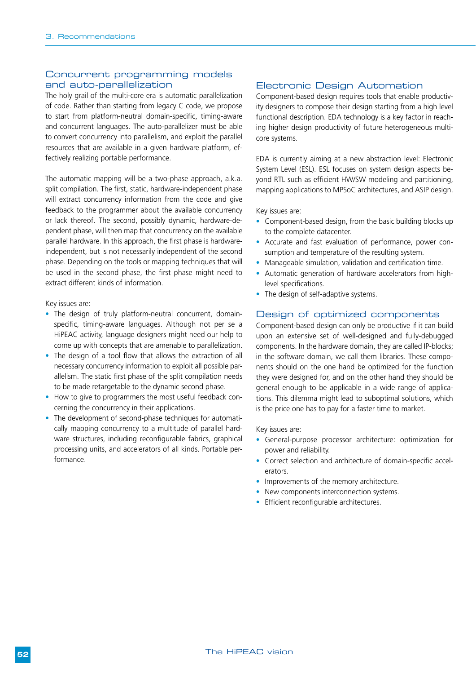#### Concurrent programming models and auto-parallelization

The holy grail of the multi-core era is automatic parallelization of code. Rather than starting from legacy C code, we propose to start from platform-neutral domain-specific, timing-aware and concurrent languages. The auto-parallelizer must be able to convert concurrency into parallelism, and exploit the parallel resources that are available in a given hardware platform, effectively realizing portable performance.

The automatic mapping will be a two-phase approach, a.k.a. split compilation. The first, static, hardware-independent phase will extract concurrency information from the code and give feedback to the programmer about the available concurrency or lack thereof. The second, possibly dynamic, hardware-dependent phase, will then map that concurrency on the available parallel hardware. In this approach, the first phase is hardwareindependent, but is not necessarily independent of the second phase. Depending on the tools or mapping techniques that will be used in the second phase, the first phase might need to extract different kinds of information.

Key issues are:

- The design of truly platform-neutral concurrent, domainspecific, timing-aware languages. Although not per se a HiPEAC activity, language designers might need our help to come up with concepts that are amenable to parallelization.
- The design of a tool flow that allows the extraction of all necessary concurrency information to exploit all possible parallelism. The static first phase of the split compilation needs to be made retargetable to the dynamic second phase.
- How to give to programmers the most useful feedback concerning the concurrency in their applications.
- The development of second-phase techniques for automatically mapping concurrency to a multitude of parallel hardware structures, including reconfigurable fabrics, graphical processing units, and accelerators of all kinds. Portable performance.

#### Electronic Design Automation

Component-based design requires tools that enable productivity designers to compose their design starting from a high level functional description. EDA technology is a key factor in reaching higher design productivity of future heterogeneous multicore systems.

EDA is currently aiming at a new abstraction level: Electronic System Level (ESL). ESL focuses on system design aspects beyond RTL such as efficient HW/SW modeling and partitioning, mapping applications to MPSoC architectures, and ASIP design.

Key issues are:

- Component-based design, from the basic building blocks up to the complete datacenter.
- Accurate and fast evaluation of performance, power consumption and temperature of the resulting system.
- Manageable simulation, validation and certification time.
- Automatic generation of hardware accelerators from highlevel specifications.
- The design of self-adaptive systems.

#### Design of optimized components

Component-based design can only be productive if it can build upon an extensive set of well-designed and fully-debugged components. In the hardware domain, they are called IP-blocks; in the software domain, we call them libraries. These components should on the one hand be optimized for the function they were designed for, and on the other hand they should be general enough to be applicable in a wide range of applications. This dilemma might lead to suboptimal solutions, which is the price one has to pay for a faster time to market.

Key issues are:

- General-purpose processor architecture: optimization for power and reliability.
- Correct selection and architecture of domain-specific accelerators.
- Improvements of the memory architecture.
- New components interconnection systems.
- Efficient reconfigurable architectures.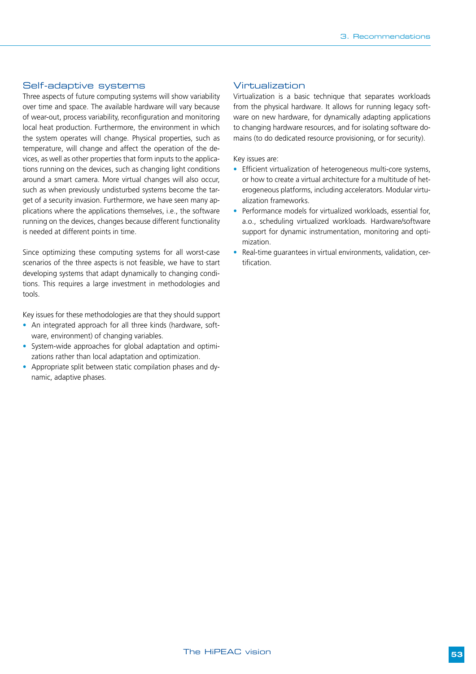#### Self-adaptive systems

Three aspects of future computing systems will show variability over time and space. The available hardware will vary because of wear-out, process variability, reconfiguration and monitoring local heat production. Furthermore, the environment in which the system operates will change. Physical properties, such as temperature, will change and affect the operation of the devices, as well as other properties that form inputs to the applications running on the devices, such as changing light conditions around a smart camera. More virtual changes will also occur, such as when previously undisturbed systems become the target of a security invasion. Furthermore, we have seen many applications where the applications themselves, i.e., the software running on the devices, changes because different functionality is needed at different points in time.

Since optimizing these computing systems for all worst-case scenarios of the three aspects is not feasible, we have to start developing systems that adapt dynamically to changing conditions. This requires a large investment in methodologies and tools.

Key issues for these methodologies are that they should support

- An integrated approach for all three kinds (hardware, software, environment) of changing variables.
- System-wide approaches for global adaptation and optimizations rather than local adaptation and optimization.
- Appropriate split between static compilation phases and dynamic, adaptive phases.

#### Virtualization

Virtualization is a basic technique that separates workloads from the physical hardware. It allows for running legacy software on new hardware, for dynamically adapting applications to changing hardware resources, and for isolating software domains (to do dedicated resource provisioning, or for security).

Key issues are:

- Efficient virtualization of heterogeneous multi-core systems, or how to create a virtual architecture for a multitude of heterogeneous platforms, including accelerators. Modular virtualization frameworks.
- Performance models for virtualized workloads, essential for, a.o., scheduling virtualized workloads. Hardware/software support for dynamic instrumentation, monitoring and optimization.
- Real-time guarantees in virtual environments, validation, certification.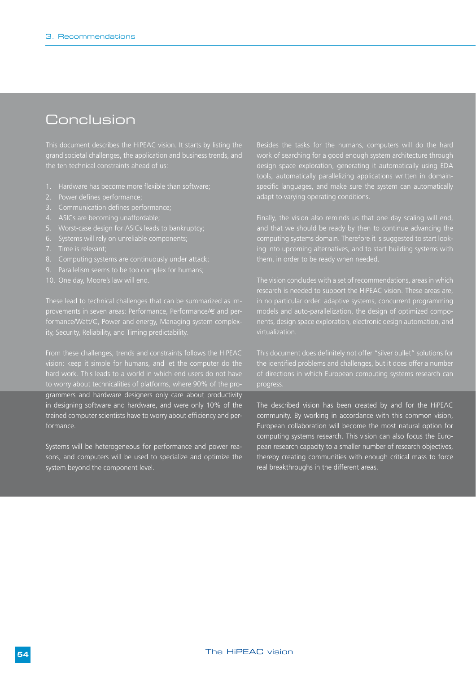### Conclusion

This document describes the HiPEAC vision. It starts by listing the grand societal challenges, the application and business trends, and the ten technical constraints ahead of us:

- 1. Hardware has become more flexible than software;
- 
- 
- 4. ASICs are becoming unaffordable;
- 
- 
- 
- 
- 
- 10. One day, Moore's law will end.

These lead to technical challenges that can be summarized as imformance/Watt/€, Power and energy, Managing system complexity, Security, Reliability, and Timing predictability.

From these challenges, trends and constraints follows the HiPEAC to worry about technicalities of platforms, where 90% of the programmers and hardware designers only care about productivity in designing software and hardware, and were only 10% of the trained computer scientists have to worry about efficiency and performance.

Systems will be heterogeneous for performance and power reasons, and computers will be used to specialize and optimize the system beyond the component level.

Besides the tasks for the humans, computers will do the hard work of searching for a good enough system architecture through design space exploration, generating it automatically using EDA tools, automatically parallelizing applications written in domainspecific languages, and make sure the system can automatically adapt to varying operating conditions.

Finally, the vision also reminds us that one day scaling will end, computing systems domain. Therefore it is suggested to start look-

research is needed to support the HiPEAC vision. These areas are, virtualization.

This document does definitely not offer "silver bullet" solutions for progress.

The described vision has been created by and for the HiPEAC community. By working in accordance with this common vision, European collaboration will become the most natural option for computing systems research. This vision can also focus the European research capacity to a smaller number of research objectives, thereby creating communities with enough critical mass to force real breakthroughs in the different areas.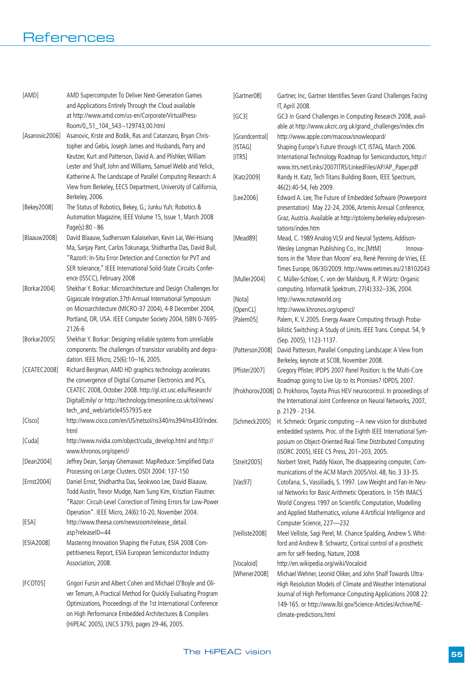| [AMD]          | AMD Supercomputer To Deliver Next-Generation Games<br>and Applications Entirely Through the Cloud available                                                                                  | [Gartner08]     | Gartner, Inc, Gartner Identifies Seven Grand Challenges Facing<br>IT, April 2008.                                             |
|----------------|----------------------------------------------------------------------------------------------------------------------------------------------------------------------------------------------|-----------------|-------------------------------------------------------------------------------------------------------------------------------|
|                | at http://www.amd.com/us-en/Corporate/VirtualPress-<br>Room/0,,51_104_543~129743,00.html                                                                                                     | [GC3]           | GC3 in Grand Challenges in Computing Research 2008, avail-<br>able at http://www.ukcrc.org.uk/grand_challenges/index.cfm      |
| [Asanovic2006] | Asanovic, Krste and Bodik, Ras and Catanzaro, Bryan Chris-                                                                                                                                   | [Grandcentral]  | http://www.apple.com/macosx/snowleopard/                                                                                      |
|                | topher and Gebis, Joseph James and Husbands, Parry and                                                                                                                                       | [ISTAG]         | Shaping Europe's Future through ICT, ISTAG, March 2006.                                                                       |
|                | Keutzer, Kurt and Patterson, David A. and Plishker, William<br>Lester and Shalf, John and Williams, Samuel Webb and Yelick,                                                                  | [ITRS]          | International Technology Roadmap for Semiconductors, http://<br>www.itrs.net/Links/2007ITRS/LinkedFiles/AP/AP_Paper.pdf       |
|                | Katherine A. The Landscape of Parallel Computing Research: A<br>View from Berkeley, EECS Department, University of California,                                                               | [Katz2009]      | Randy H. Katz, Tech Titans Building Boom, IEEE Spectrum,<br>46(2):40-54, Feb 2009.                                            |
|                | Berkeley, 2006.                                                                                                                                                                              | [Lee2006]       | Edward A. Lee, The Future of Embedded Software (Powerpoint                                                                    |
| [Bekey2008]    | The Status of Robotics, Bekey, G.; Junku Yuh; Robotics &<br>Automation Magazine, IEEE Volume 15, Issue 1, March 2008                                                                         |                 | presentation) May 22-24, 2006, Artemis Annual Conference,<br>Graz, Austria. Available at http://ptolemy.berkeley.edu/presen-  |
|                | Page(s):80 - 86                                                                                                                                                                              |                 | tations/index.htm                                                                                                             |
| [Blaauw2008]   | David Blaauw, Sudherssen Kalaiselvan, Kevin Lai, Wei-Hsiang<br>Ma, Sanjay Pant, Carlos Tokunaga, Shidhartha Das, David Bull,<br>"Razorll: In-Situ Error Detection and Correction for PVT and | [Mead89]        | Mead, C. 1989 Analog VLSI and Neural Systems. Addison-<br>Wesley Longman Publishing Co., Inc.[MtM]<br>Innova-                 |
|                | SER tolerance," IEEE International Solid-State Circuits Confer-                                                                                                                              |                 | tions in the 'More than Moore' era, René Penning de Vries, EE<br>Times Europe, 06/30/2009. http://www.eetimes.eu/218102043    |
|                | ence (ISSCC), February 2008                                                                                                                                                                  | [Muller2004]    | C. Müller-Schloer, C. von der Malsburg, R. P. Würtz: Organic                                                                  |
| [Borkar2004]   | Shekhar Y. Borkar: Microarchitecture and Design Challenges for                                                                                                                               |                 | computing. Informatik Spektrum, 27(4):332-336, 2004.                                                                          |
|                | Gigascale Integration.37th Annual International Symposium                                                                                                                                    | [Nota]          | http://www.notaworld.org                                                                                                      |
|                | on Microarchitecture (MICRO-37 2004), 4-8 December 2004,                                                                                                                                     | [OpenCL]        | http://www.khronos.org/opencl/                                                                                                |
|                | Portland, OR, USA. IEEE Computer Society 2004, ISBN 0-7695-                                                                                                                                  | [Palem05]       | Palem, K. V. 2005. Energy Aware Computing through Proba-                                                                      |
|                | 2126-6                                                                                                                                                                                       |                 | bilistic Switching: A Study of Limits. IEEE Trans. Comput. 54, 9                                                              |
| [Borkar2005]   | Shekhar Y. Borkar: Designing reliable systems from unreliable                                                                                                                                |                 | (Sep. 2005), 1123-1137.                                                                                                       |
|                | components: The challenges of transistor variability and degra-<br>dation. IEEE Micro, 25(6):10-16, 2005.                                                                                    | [Patterson2008] | David Patterson, Parallel Computing Landscape: A View from<br>Berkeley, keynote at SC08, November 2008.                       |
| [CEATEC2008]   | Richard Bergman, AMD HD graphics technology accelerates                                                                                                                                      | [Pfister2007]   | Gregory Pfister, IPDPS 2007 Panel Position: Is the Multi-Core                                                                 |
|                | the convergence of Digital Consumer Electronics and PCs,                                                                                                                                     |                 | Roadmap going to Live Up to its Promises? IDPDS, 2007.                                                                        |
|                | CEATEC 2008, October 2008. http://gl.ict.usc.edu/Research/                                                                                                                                   |                 | [Prokhorov2008] D. Prokhorov, Toyota Prius HEV neurocontrol. In proceedings of                                                |
|                | DigitalEmily/ or http://technology.timesonline.co.uk/tol/news/                                                                                                                               |                 | the International Joint Conference on Neural Networks, 2007,                                                                  |
|                | tech_and_web/article4557935.ece                                                                                                                                                              |                 | p. 2129 - 2134.                                                                                                               |
| [Cisco]        | http://www.cisco.com/en/US/netsol/ns340/ns394/ns430/index.<br>html                                                                                                                           | [Schmeck2005]   | H. Schmeck: Organic computing - A new vision for distributed<br>embedded systems. Proc. of the Eighth IEEE International Sym- |
| [Cuda]         | http://www.nvidia.com/object/cuda_develop.html and http://<br>www.khronos.org/opencl/                                                                                                        |                 | posium on Object-Oriented Real-Time Distributed Computing<br>(ISORC 2005), IEEE CS Press, 201-203, 2005.                      |
| [Dean2004]     | Jeffrey Dean, Sanjay Ghemawat: MapReduce: Simplified Data<br>Processing on Large Clusters. OSDI 2004: 137-150                                                                                | [Streit2005]    | Norbert Streit, Paddy Nixon, The disappearing computer, Com-<br>munications of the ACM March 2005/Vol. 48, No. 3 33-35.       |
| [Ernst2004]    | Daniel Ernst, Shidhartha Das, Seokwoo Lee, David Blaauw,                                                                                                                                     | [Vas97]         | Cotofana, S., Vassiliadis, S. 1997. Low Weight and Fan-In Neu-                                                                |
|                | Todd Austin, Trevor Mudge, Nam Sung Kim, Krisztian Flautner.                                                                                                                                 |                 | ral Networks for Basic Arithmetic Operations. In 15th IMACS                                                                   |
|                | "Razor: Circuit-Level Correction of Timing Errors for Low-Power                                                                                                                              |                 | World Congress 1997 on Scientific Computation, Modelling                                                                      |
|                | Operation". IEEE Micro, 24(6):10-20, November 2004.                                                                                                                                          |                 | and Applied Mathematics, volume 4 Artificial Intelligence and                                                                 |
| [ESA]          | http://www.theesa.com/newsroom/release_detail.                                                                                                                                               |                 | Computer Science, 227-232                                                                                                     |
|                | asp?releaseID=44                                                                                                                                                                             | [Velliste2008]  | Meel Velliste, Sagi Perel, M. Chance Spalding, Andrew S. Whit-                                                                |
| [ESIA2008]     | Mastering Innovation Shaping the Future, ESIA 2008 Com-                                                                                                                                      |                 | ford and Andrew B. Schwartz, Cortical control of a prosthetic                                                                 |
|                | petitiveness Report, ESIA European Semiconductor Industry                                                                                                                                    |                 | arm for self-feeding, Nature, 2008                                                                                            |
|                | Association, 2008.                                                                                                                                                                           | [Vocaloid]      | http://en.wikipedia.org/wiki/Vocaloid                                                                                         |
|                |                                                                                                                                                                                              | [Whener2008]    | Michael Wehner, Leonid Oliker, and John Shalf Towards Ultra-                                                                  |
| [FCOT05]       | Grigori Fursin and Albert Cohen and Michael O'Boyle and Oli-                                                                                                                                 |                 | High Resolution Models of Climate and Weather International                                                                   |
|                | ver Temam, A Practical Method For Quickly Evaluating Program                                                                                                                                 |                 | Journal of High Performance Computing Applications 2008 22:                                                                   |
|                | Optimizations, Proceedings of the 1st International Conference                                                                                                                               |                 | 149-165. or http://www.lbl.gov/Science-Articles/Archive/NE-                                                                   |
|                | on High Performance Embedded Architectures & Compilers<br>(HiPEAC 2005), LNCS 3793, pages 29-46, 2005.                                                                                       |                 | climate-predictions.html                                                                                                      |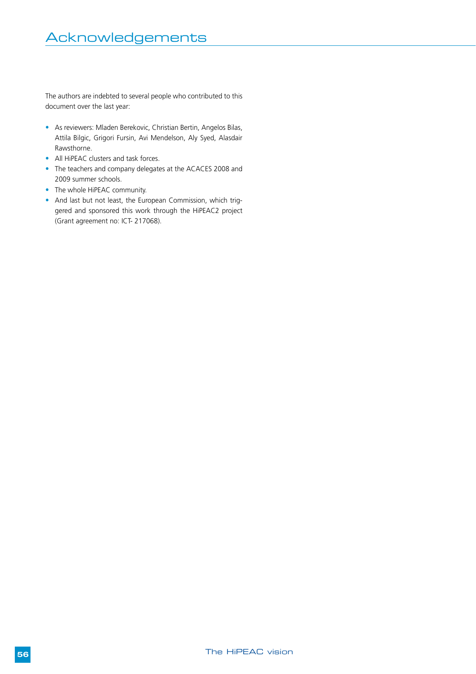The authors are indebted to several people who contributed to this document over the last year:

- As reviewers: Mladen Berekovic, Christian Bertin, Angelos Bilas, Attila Bilgic, Grigori Fursin, Avi Mendelson, Aly Syed, Alasdair Rawsthorne.
- All HiPEAC clusters and task forces.
- The teachers and company delegates at the ACACES 2008 and 2009 summer schools.
- The whole HiPEAC community.
- And last but not least, the European Commission, which triggered and sponsored this work through the HiPEAC2 project (Grant agreement no: ICT- 217068).